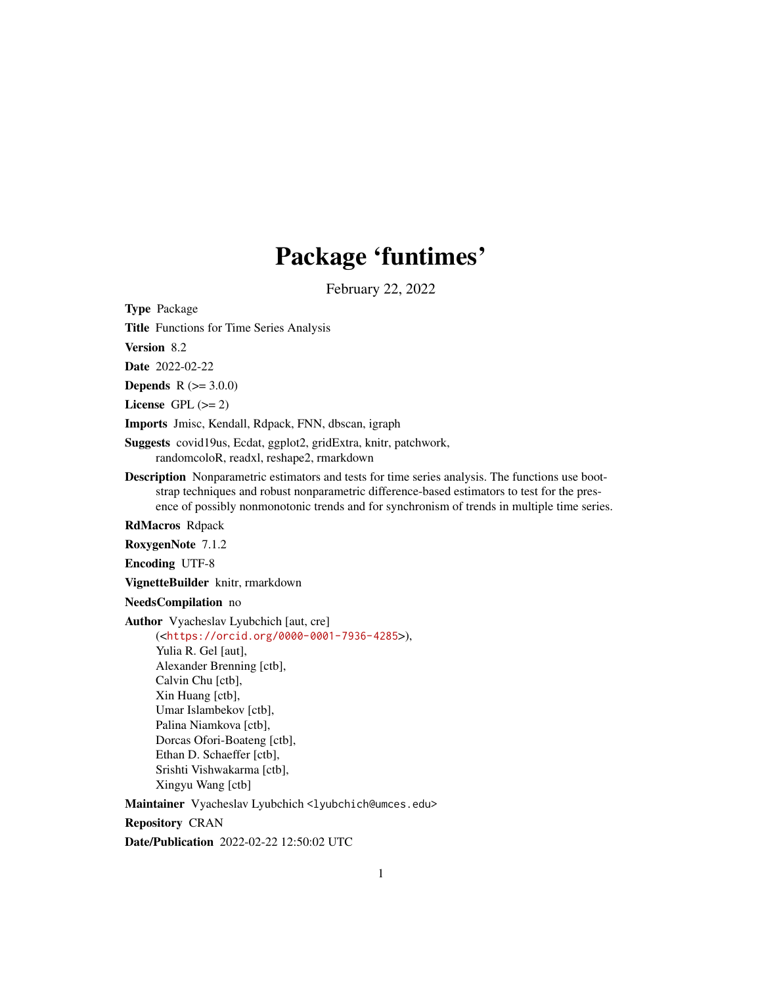# Package 'funtimes'

February 22, 2022

<span id="page-0-0"></span>Type Package

Title Functions for Time Series Analysis

Version 8.2

Date 2022-02-22

**Depends**  $R (= 3.0.0)$ 

License GPL  $(>= 2)$ 

Imports Jmisc, Kendall, Rdpack, FNN, dbscan, igraph

Suggests covid19us, Ecdat, ggplot2, gridExtra, knitr, patchwork, randomcoloR, readxl, reshape2, rmarkdown

Description Nonparametric estimators and tests for time series analysis. The functions use bootstrap techniques and robust nonparametric difference-based estimators to test for the presence of possibly nonmonotonic trends and for synchronism of trends in multiple time series.

RdMacros Rdpack

RoxygenNote 7.1.2

Encoding UTF-8

VignetteBuilder knitr, rmarkdown

NeedsCompilation no

Author Vyacheslav Lyubchich [aut, cre]

(<<https://orcid.org/0000-0001-7936-4285>>), Yulia R. Gel [aut], Alexander Brenning [ctb], Calvin Chu [ctb], Xin Huang [ctb], Umar Islambekov [ctb], Palina Niamkova [ctb], Dorcas Ofori-Boateng [ctb], Ethan D. Schaeffer [ctb], Srishti Vishwakarma [ctb], Xingyu Wang [ctb]

Maintainer Vyacheslav Lyubchich <lyubchich@umces.edu>

Repository CRAN

Date/Publication 2022-02-22 12:50:02 UTC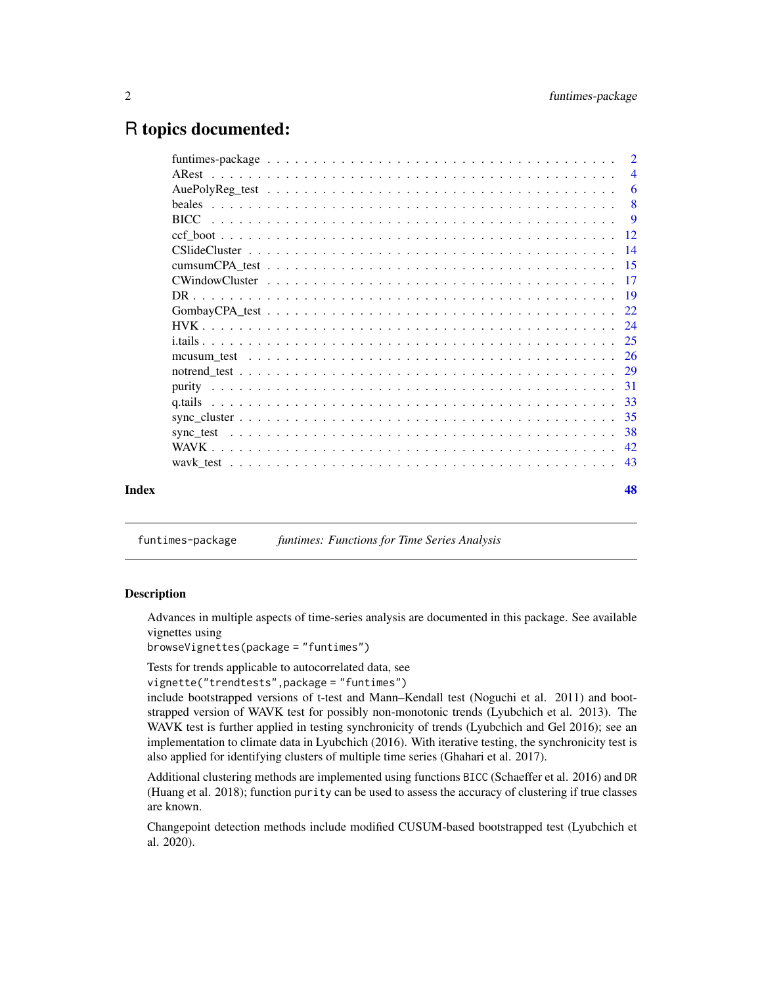## <span id="page-1-0"></span>R topics documented:

| Index |               | 48                        |
|-------|---------------|---------------------------|
|       |               |                           |
|       |               |                           |
|       |               |                           |
|       |               |                           |
|       |               |                           |
|       |               |                           |
|       |               |                           |
|       |               |                           |
|       |               |                           |
|       |               |                           |
|       |               |                           |
|       |               |                           |
|       |               |                           |
|       |               |                           |
|       |               |                           |
|       |               | -9                        |
|       | <b>beales</b> | $\overline{\phantom{0}}8$ |
|       |               | 6                         |
|       |               | $\overline{4}$            |
|       |               | $\overline{2}$            |

funtimes-package *funtimes: Functions for Time Series Analysis*

## **Description**

Advances in multiple aspects of time-series analysis are documented in this package. See available vignettes using

browseVignettes(package = "funtimes")

Tests for trends applicable to autocorrelated data, see

```
vignette("trendtests",package = "funtimes")
```
include bootstrapped versions of t-test and Mann–Kendall test (Noguchi et al. 2011) and bootstrapped version of WAVK test for possibly non-monotonic trends (Lyubchich et al. 2013). The WAVK test is further applied in testing synchronicity of trends (Lyubchich and Gel 2016); see an implementation to climate data in Lyubchich (2016). With iterative testing, the synchronicity test is also applied for identifying clusters of multiple time series (Ghahari et al. 2017).

Additional clustering methods are implemented using functions BICC (Schaeffer et al. 2016) and DR (Huang et al. 2018); function purity can be used to assess the accuracy of clustering if true classes are known.

Changepoint detection methods include modified CUSUM-based bootstrapped test (Lyubchich et al. 2020).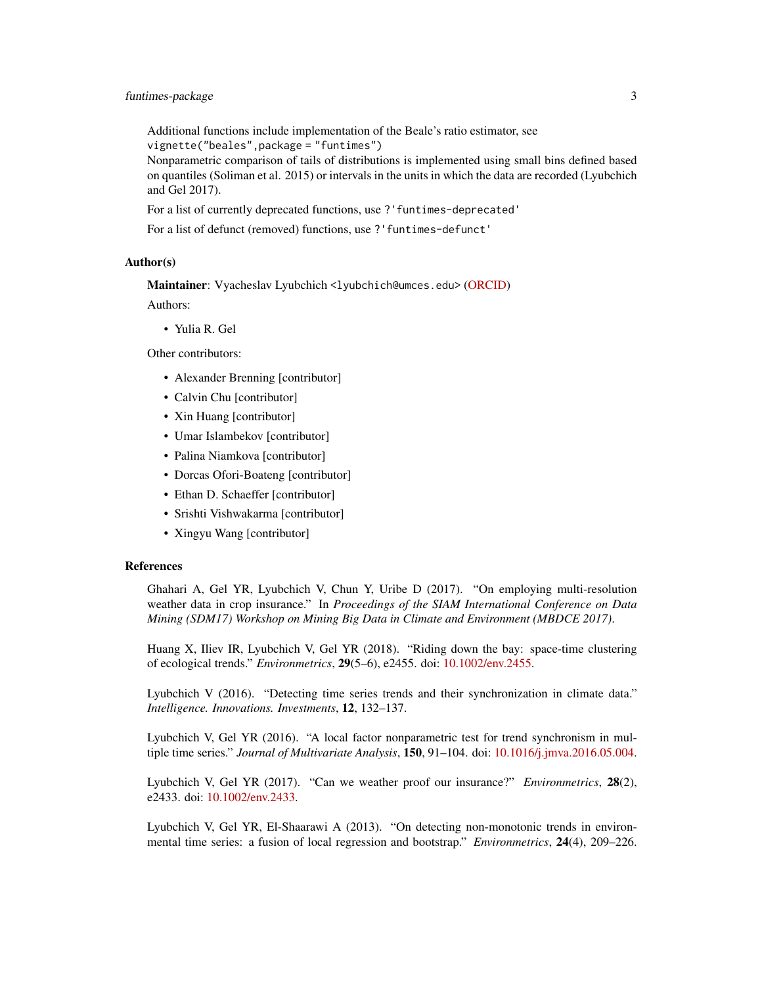Additional functions include implementation of the Beale's ratio estimator, see vignette("beales",package = "funtimes")

Nonparametric comparison of tails of distributions is implemented using small bins defined based on quantiles (Soliman et al. 2015) or intervals in the units in which the data are recorded (Lyubchich and Gel 2017).

For a list of currently deprecated functions, use ?'funtimes-deprecated'

For a list of defunct (removed) functions, use ?'funtimes-defunct'

#### Author(s)

Maintainer: Vyacheslav Lyubchich <lyubchich@umces.edu> [\(ORCID\)](https://orcid.org/0000-0001-7936-4285)

Authors:

• Yulia R. Gel

Other contributors:

- Alexander Brenning [contributor]
- Calvin Chu [contributor]
- Xin Huang [contributor]
- Umar Islambekov [contributor]
- Palina Niamkova [contributor]
- Dorcas Ofori-Boateng [contributor]
- Ethan D. Schaeffer [contributor]
- Srishti Vishwakarma [contributor]
- Xingyu Wang [contributor]

#### References

Ghahari A, Gel YR, Lyubchich V, Chun Y, Uribe D (2017). "On employing multi-resolution weather data in crop insurance." In *Proceedings of the SIAM International Conference on Data Mining (SDM17) Workshop on Mining Big Data in Climate and Environment (MBDCE 2017)*.

Huang X, Iliev IR, Lyubchich V, Gel YR (2018). "Riding down the bay: space-time clustering of ecological trends." *Environmetrics*, 29(5–6), e2455. doi: [10.1002/env.2455.](https://doi.org/10.1002/env.2455)

Lyubchich V (2016). "Detecting time series trends and their synchronization in climate data." *Intelligence. Innovations. Investments*, 12, 132–137.

Lyubchich V, Gel YR (2016). "A local factor nonparametric test for trend synchronism in multiple time series." *Journal of Multivariate Analysis*, 150, 91–104. doi: [10.1016/j.jmva.2016.05.004.](https://doi.org/10.1016/j.jmva.2016.05.004)

Lyubchich V, Gel YR (2017). "Can we weather proof our insurance?" *Environmetrics*, 28(2), e2433. doi: [10.1002/env.2433.](https://doi.org/10.1002/env.2433)

Lyubchich V, Gel YR, El-Shaarawi A (2013). "On detecting non-monotonic trends in environmental time series: a fusion of local regression and bootstrap." *Environmetrics*, 24(4), 209–226.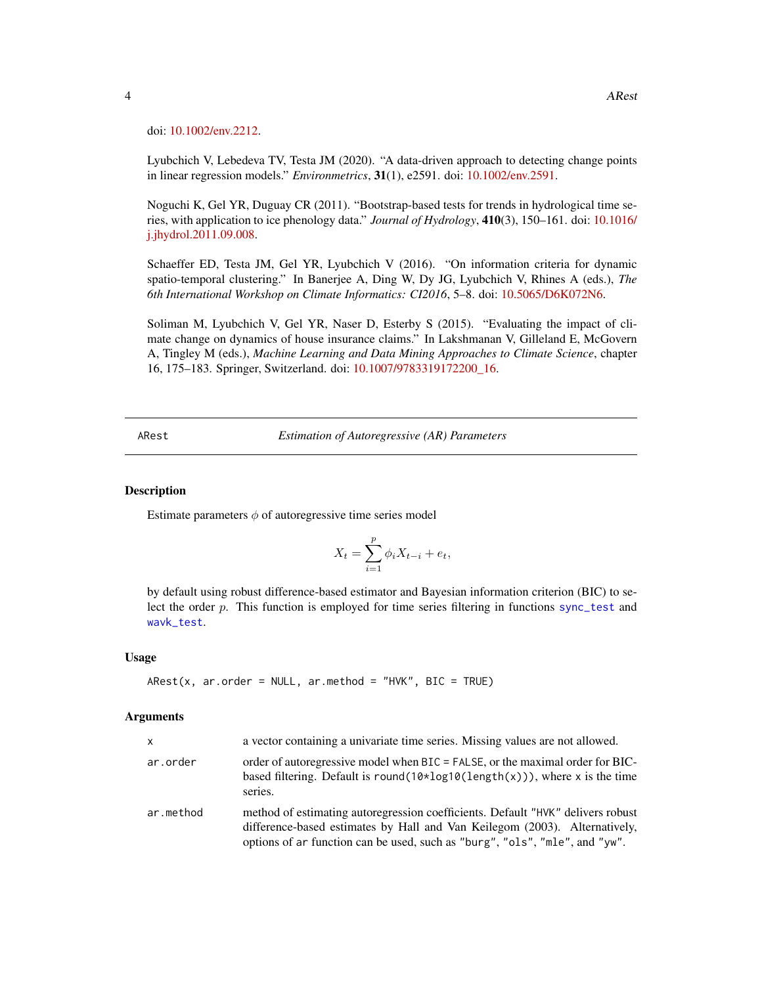doi: [10.1002/env.2212.](https://doi.org/10.1002/env.2212)

Lyubchich V, Lebedeva TV, Testa JM (2020). "A data-driven approach to detecting change points in linear regression models." *Environmetrics*, 31(1), e2591. doi: [10.1002/env.2591.](https://doi.org/10.1002/env.2591)

Noguchi K, Gel YR, Duguay CR (2011). "Bootstrap-based tests for trends in hydrological time series, with application to ice phenology data." *Journal of Hydrology*, 410(3), 150–161. doi: [10.1016/](https://doi.org/10.1016/j.jhydrol.2011.09.008) [j.jhydrol.2011.09.008.](https://doi.org/10.1016/j.jhydrol.2011.09.008)

Schaeffer ED, Testa JM, Gel YR, Lyubchich V (2016). "On information criteria for dynamic spatio-temporal clustering." In Banerjee A, Ding W, Dy JG, Lyubchich V, Rhines A (eds.), *The 6th International Workshop on Climate Informatics: CI2016*, 5–8. doi: [10.5065/D6K072N6.](https://doi.org/10.5065/D6K072N6)

Soliman M, Lyubchich V, Gel YR, Naser D, Esterby S (2015). "Evaluating the impact of climate change on dynamics of house insurance claims." In Lakshmanan V, Gilleland E, McGovern A, Tingley M (eds.), *Machine Learning and Data Mining Approaches to Climate Science*, chapter 16, 175–183. Springer, Switzerland. doi: [10.1007/9783319172200\\_16.](https://doi.org/10.1007/978-3-319-17220-0_16)

<span id="page-3-1"></span>ARest *Estimation of Autoregressive (AR) Parameters*

#### Description

Estimate parameters  $\phi$  of autoregressive time series model

$$
X_t = \sum_{i=1}^p \phi_i X_{t-i} + e_t,
$$

by default using robust difference-based estimator and Bayesian information criterion (BIC) to select the order p. This function is employed for time series filtering in functions [sync\\_test](#page-37-1) and [wavk\\_test](#page-42-1).

#### Usage

```
ARest(x, ar.order = NULL, ar.method = "HVK", BIC = TRUE)
```
## Arguments

| $\mathsf{x}$ | a vector containing a univariate time series. Missing values are not allowed.                                                                                                                                                                |
|--------------|----------------------------------------------------------------------------------------------------------------------------------------------------------------------------------------------------------------------------------------------|
| ar.order     | order of autoregressive model when BIC = FALSE, or the maximal order for BIC-<br>based filtering. Default is round( $10 \times log10(length(x))$ ), where x is the time<br>series.                                                           |
| ar.method    | method of estimating autoregression coefficients. Default "HVK" delivers robust<br>difference-based estimates by Hall and Van Keilegom (2003). Alternatively,<br>options of ar function can be used, such as "burg", "ols", "mle", and "yw". |

<span id="page-3-0"></span>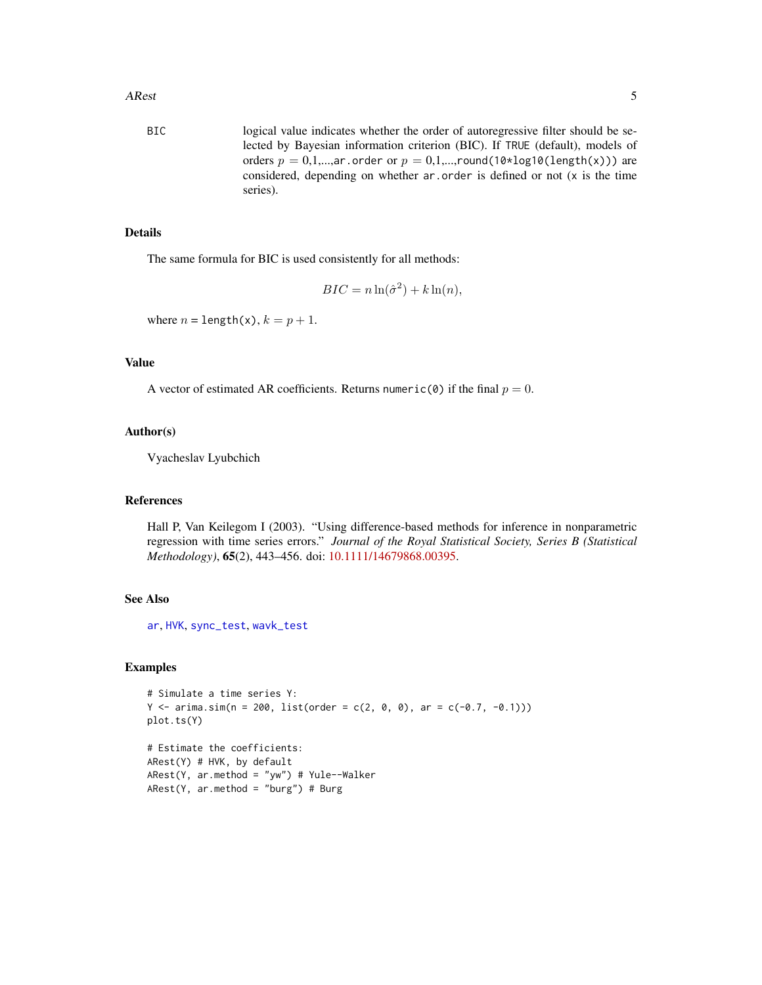<span id="page-4-0"></span>BIC logical value indicates whether the order of autoregressive filter should be selected by Bayesian information criterion (BIC). If TRUE (default), models of orders  $p = 0,1,...,ar$  order or  $p = 0,1,...,round(10*log10(length(x)))$  are considered, depending on whether ar.order is defined or not (x is the time series).

## Details

The same formula for BIC is used consistently for all methods:

$$
BIC = n \ln(\hat{\sigma}^2) + k \ln(n),
$$

where  $n = \text{length}(x)$ ,  $k = p + 1$ .

## Value

A vector of estimated AR coefficients. Returns numeric(0) if the final  $p = 0$ .

## Author(s)

Vyacheslav Lyubchich

## References

Hall P, Van Keilegom I (2003). "Using difference-based methods for inference in nonparametric regression with time series errors." *Journal of the Royal Statistical Society, Series B (Statistical Methodology)*, 65(2), 443–456. doi: [10.1111/14679868.00395.](https://doi.org/10.1111/1467-9868.00395)

#### See Also

[ar](#page-0-0), [HVK](#page-23-1), [sync\\_test](#page-37-1), [wavk\\_test](#page-42-1)

#### Examples

```
# Simulate a time series Y:
Y \le -\arima.sim(n = 200, list(order = c(2, 0, 0), ar = c(-0.7, -0.1)))plot.ts(Y)
```
# Estimate the coefficients: ARest(Y) # HVK, by default ARest(Y, ar.method = "yw") # Yule--Walker  $ARest(Y, ar.method = "burg") # Burg$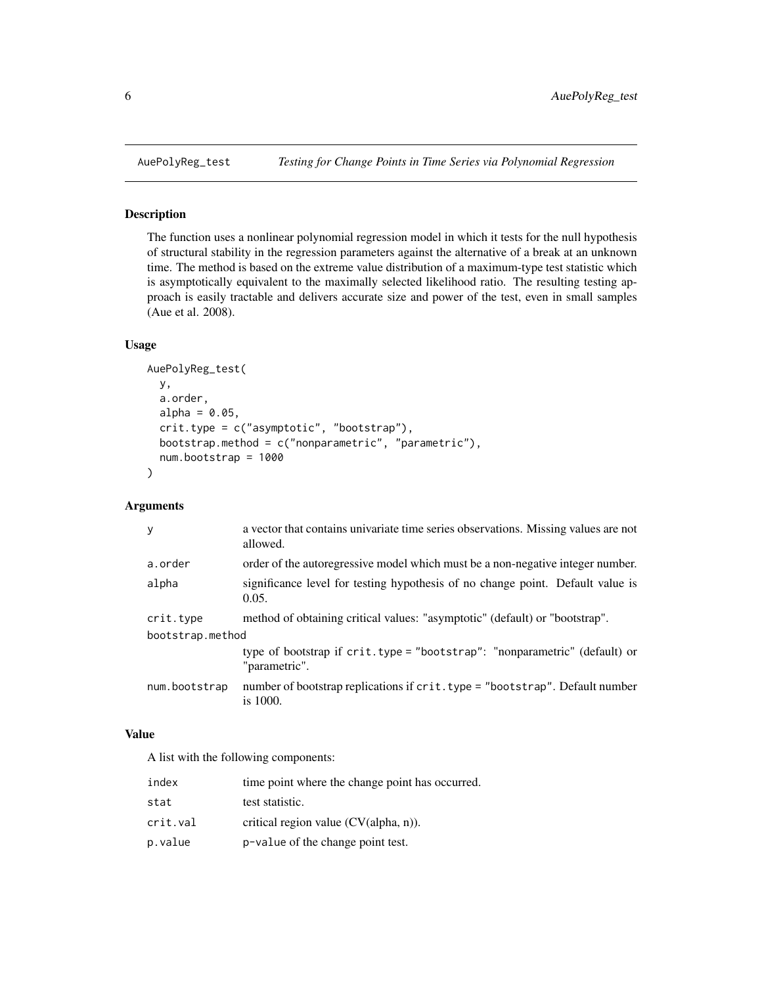#### Description

The function uses a nonlinear polynomial regression model in which it tests for the null hypothesis of structural stability in the regression parameters against the alternative of a break at an unknown time. The method is based on the extreme value distribution of a maximum-type test statistic which is asymptotically equivalent to the maximally selected likelihood ratio. The resulting testing approach is easily tractable and delivers accurate size and power of the test, even in small samples (Aue et al. 2008).

#### Usage

```
AuePolyReg_test(
  y,
  a.order,
  alpha = 0.05,
  crit.type = c("asymptotic", "bootstrap"),
  bootstrap.method = c("nonparametric", "parametric"),
  num.bootstrap = 1000
)
```
## Arguments

| y                | a vector that contains univariate time series observations. Missing values are not<br>allowed. |  |
|------------------|------------------------------------------------------------------------------------------------|--|
| a.order          | order of the autoregressive model which must be a non-negative integer number.                 |  |
| alpha            | significance level for testing hypothesis of no change point. Default value is<br>0.05.        |  |
| crit.type        | method of obtaining critical values: "asymptotic" (default) or "bootstrap".                    |  |
| bootstrap.method |                                                                                                |  |
|                  | type of bootstrap if crit.type = "bootstrap": "nonparametric" (default) or<br>"parametric".    |  |
| num.bootstrap    | number of bootstrap replications if crit.type = "bootstrap". Default number<br>is 1000.        |  |
|                  |                                                                                                |  |

#### Value

A list with the following components:

| index    | time point where the change point has occurred. |
|----------|-------------------------------------------------|
| stat     | test statistic.                                 |
| crit.val | critical region value $(CV(\text{alpha}, n))$ . |
| p.value  | p-value of the change point test.               |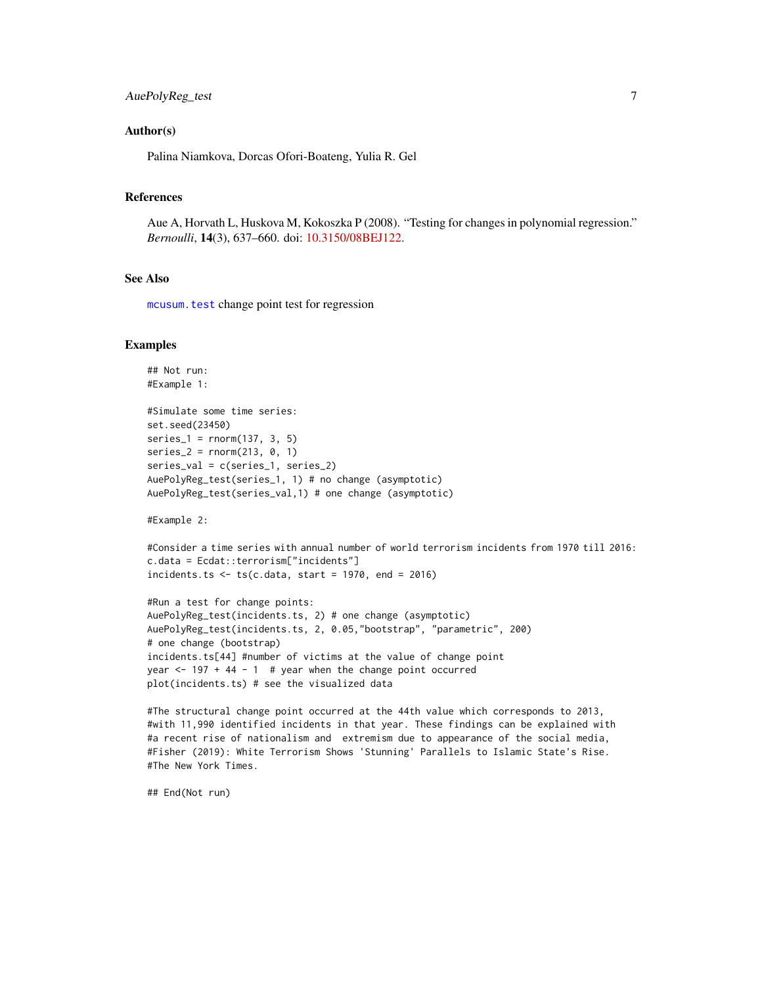## <span id="page-6-0"></span>AuePolyReg\_test 7

#### Author(s)

Palina Niamkova, Dorcas Ofori-Boateng, Yulia R. Gel

## References

Aue A, Horvath L, Huskova M, Kokoszka P (2008). "Testing for changes in polynomial regression." *Bernoulli*, 14(3), 637–660. doi: [10.3150/08BEJ122.](https://doi.org/10.3150/08-BEJ122)

#### See Also

[mcusum.test](#page-0-0) change point test for regression

#### Examples

```
## Not run:
#Example 1:
#Simulate some time series:
set.seed(23450)
series_1 = rnorm(137, 3, 5)series_2 = rnorm(213, 0, 1)series_val = c(series_1, series_2)
AuePolyReg_test(series_1, 1) # no change (asymptotic)
AuePolyReg_test(series_val,1) # one change (asymptotic)
```
#Example 2:

```
#Consider a time series with annual number of world terrorism incidents from 1970 till 2016:
c.data = Ecdat::terrorism["incidents"]
incidents.ts \leq ts(c.data, start = 1970, end = 2016)
```

```
#Run a test for change points:
AuePolyReg_test(incidents.ts, 2) # one change (asymptotic)
AuePolyReg_test(incidents.ts, 2, 0.05,"bootstrap", "parametric", 200)
# one change (bootstrap)
incidents.ts[44] #number of victims at the value of change point
year \le 197 + 44 - 1 # year when the change point occurred
plot(incidents.ts) # see the visualized data
```

```
#The structural change point occurred at the 44th value which corresponds to 2013,
#with 11,990 identified incidents in that year. These findings can be explained with
#a recent rise of nationalism and extremism due to appearance of the social media,
#Fisher (2019): White Terrorism Shows 'Stunning' Parallels to Islamic State's Rise.
#The New York Times.
```
## End(Not run)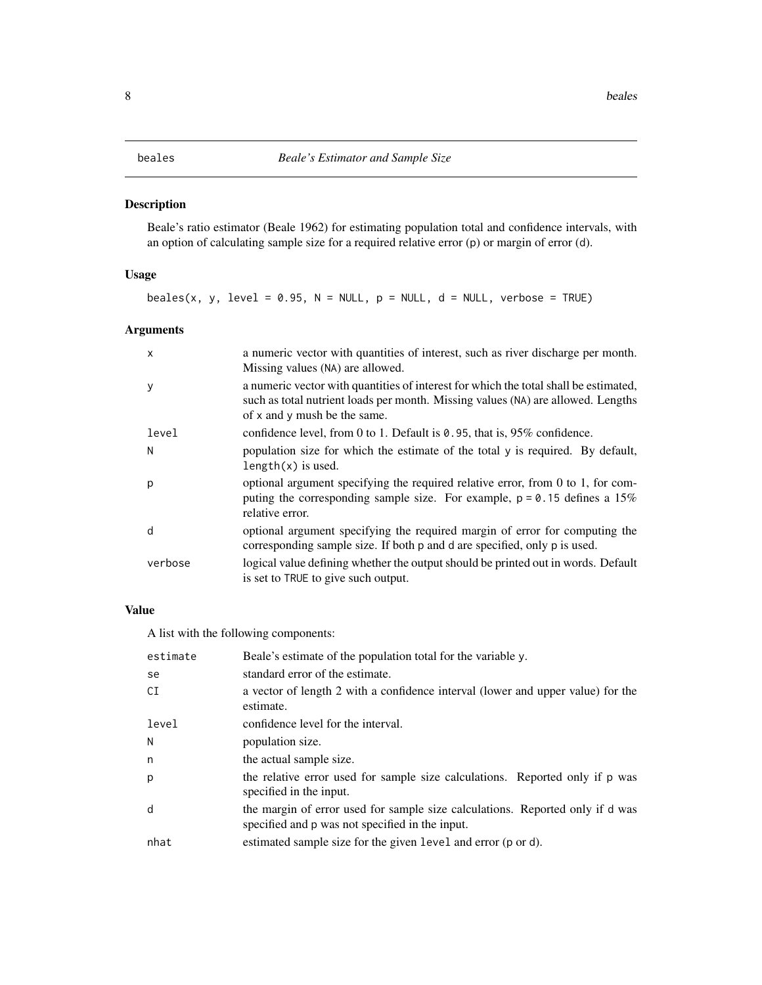## <span id="page-7-0"></span>Description

Beale's ratio estimator (Beale 1962) for estimating population total and confidence intervals, with an option of calculating sample size for a required relative error (p) or margin of error (d).

## Usage

beales(x, y, level = 0.95,  $N = NULL$ ,  $p = NULL$ ,  $d = NULL$ , verbose = TRUE)

## Arguments

| x       | a numeric vector with quantities of interest, such as river discharge per month.<br>Missing values (NA) are allowed.                                                                                     |
|---------|----------------------------------------------------------------------------------------------------------------------------------------------------------------------------------------------------------|
| у       | a numeric vector with quantities of interest for which the total shall be estimated,<br>such as total nutrient loads per month. Missing values (NA) are allowed. Lengths<br>of x and y mush be the same. |
| level   | confidence level, from 0 to 1. Default is 0.95, that is, 95% confidence.                                                                                                                                 |
| N       | population size for which the estimate of the total y is required. By default,<br>$length(x)$ is used.                                                                                                   |
| р       | optional argument specifying the required relative error, from 0 to 1, for com-<br>puting the corresponding sample size. For example, $p = 0.15$ defines a 15%<br>relative error.                        |
| d       | optional argument specifying the required margin of error for computing the<br>corresponding sample size. If both p and d are specified, only p is used.                                                 |
| verbose | logical value defining whether the output should be printed out in words. Default<br>is set to TRUE to give such output.                                                                                 |

## Value

A list with the following components:

| estimate | Beale's estimate of the population total for the variable y.                                                                     |
|----------|----------------------------------------------------------------------------------------------------------------------------------|
| se       | standard error of the estimate.                                                                                                  |
| СI       | a vector of length 2 with a confidence interval (lower and upper value) for the<br>estimate.                                     |
| level    | confidence level for the interval.                                                                                               |
| N        | population size.                                                                                                                 |
| n        | the actual sample size.                                                                                                          |
| p        | the relative error used for sample size calculations. Reported only if p was<br>specified in the input.                          |
| d        | the margin of error used for sample size calculations. Reported only if d was<br>specified and p was not specified in the input. |
| nhat     | estimated sample size for the given level and error (p or d).                                                                    |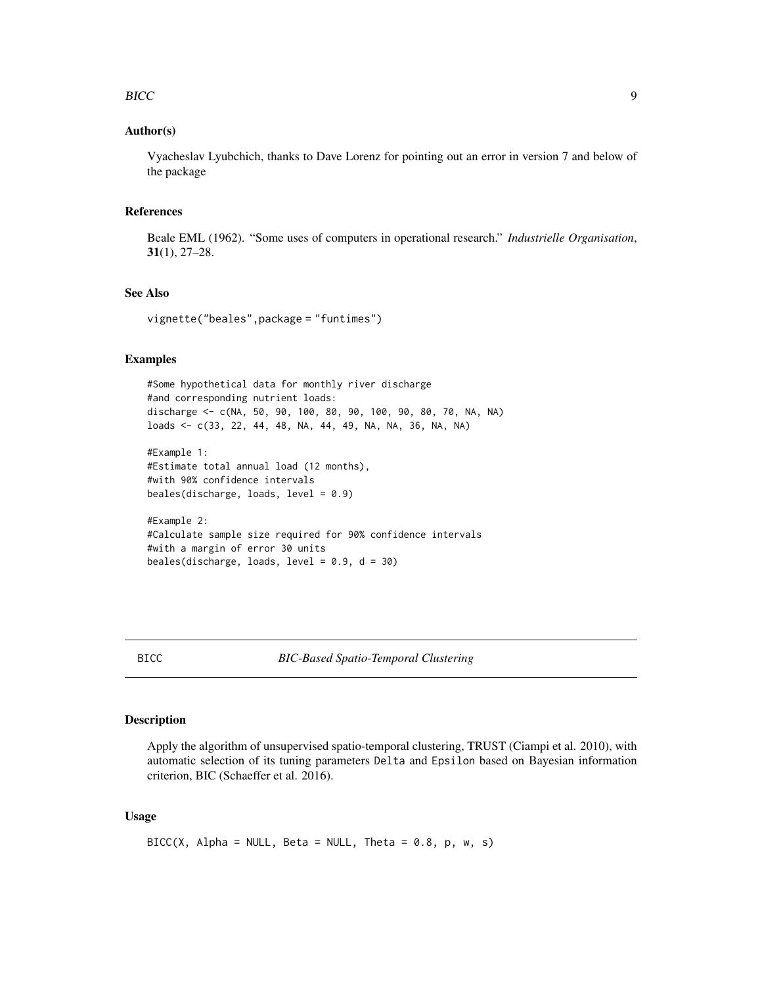#### <span id="page-8-0"></span>BICC 9

### Author(s)

Vyacheslav Lyubchich, thanks to Dave Lorenz for pointing out an error in version 7 and below of the package

## References

Beale EML (1962). "Some uses of computers in operational research." *Industrielle Organisation*, 31(1), 27–28.

## See Also

vignette("beales",package = "funtimes")

beales(discharge, loads, level = 0.9, d = 30)

## Examples

```
#Some hypothetical data for monthly river discharge
#and corresponding nutrient loads:
discharge <- c(NA, 50, 90, 100, 80, 90, 100, 90, 80, 70, NA, NA)
loads <- c(33, 22, 44, 48, NA, 44, 49, NA, NA, 36, NA, NA)
#Example 1:
#Estimate total annual load (12 months),
#with 90% confidence intervals
beales(discharge, loads, level = 0.9)
#Example 2:
#Calculate sample size required for 90% confidence intervals
#with a margin of error 30 units
```
<span id="page-8-1"></span>

## Description

Apply the algorithm of unsupervised spatio-temporal clustering, TRUST (Ciampi et al. 2010), with automatic selection of its tuning parameters Delta and Epsilon based on Bayesian information criterion, BIC (Schaeffer et al. 2016).

#### Usage

```
BICC(X, Alpha = NULL, Beta = NULL, theta = 0.8, p, w, s)
```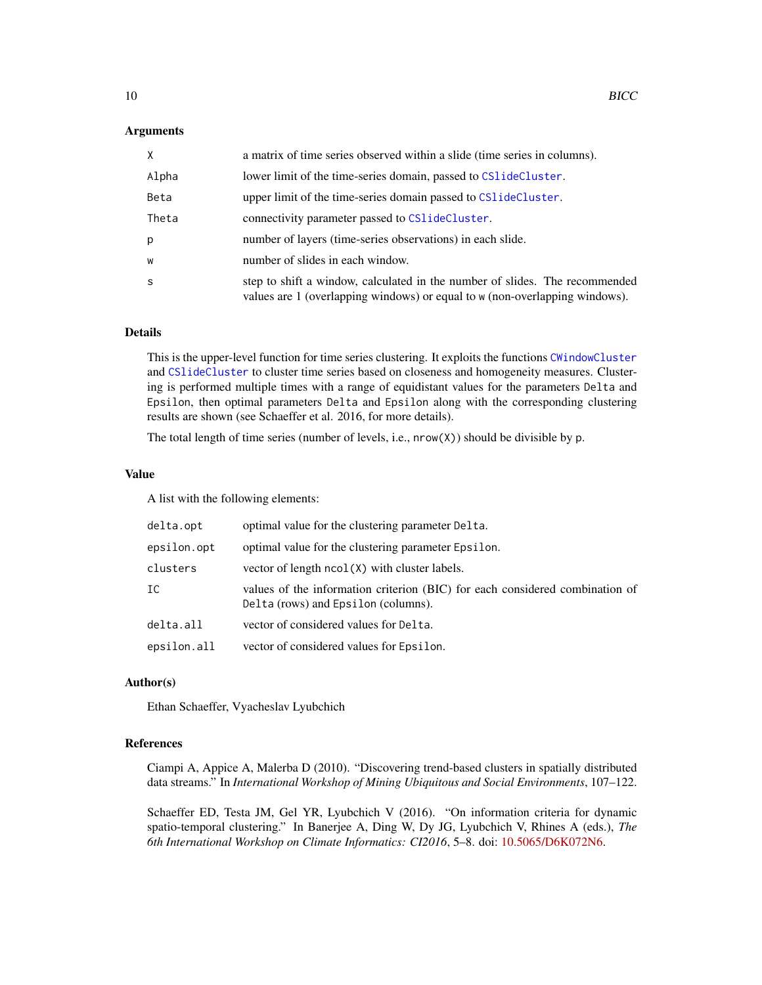#### <span id="page-9-0"></span>Arguments

| X     | a matrix of time series observed within a slide (time series in columns).                                                                                  |
|-------|------------------------------------------------------------------------------------------------------------------------------------------------------------|
| Alpha | lower limit of the time-series domain, passed to CS1ideCluster.                                                                                            |
| Beta  | upper limit of the time-series domain passed to CS1ideCluster.                                                                                             |
| Theta | connectivity parameter passed to CS1ideCluster.                                                                                                            |
| р     | number of layers (time-series observations) in each slide.                                                                                                 |
| W     | number of slides in each window.                                                                                                                           |
| S     | step to shift a window, calculated in the number of slides. The recommended<br>values are 1 (overlapping windows) or equal to w (non-overlapping windows). |

## Details

This is the upper-level function for time series clustering. It exploits the functions [CWindowCluster](#page-16-1) and [CSlideCluster](#page-13-1) to cluster time series based on closeness and homogeneity measures. Clustering is performed multiple times with a range of equidistant values for the parameters Delta and Epsilon, then optimal parameters Delta and Epsilon along with the corresponding clustering results are shown (see Schaeffer et al. 2016, for more details).

The total length of time series (number of levels, i.e., nrow(X)) should be divisible by p.

## Value

A list with the following elements:

| delta.opt   | optimal value for the clustering parameter Delta.                                                                   |
|-------------|---------------------------------------------------------------------------------------------------------------------|
| epsilon.opt | optimal value for the clustering parameter Epsilon.                                                                 |
| clusters    | vector of length $ncol(X)$ with cluster labels.                                                                     |
| IC          | values of the information criterion (BIC) for each considered combination of<br>Delta (rows) and Epsilon (columns). |
| delta.all   | vector of considered values for Delta.                                                                              |
| epsilon.all | vector of considered values for Epsilon.                                                                            |

## Author(s)

Ethan Schaeffer, Vyacheslav Lyubchich

## References

Ciampi A, Appice A, Malerba D (2010). "Discovering trend-based clusters in spatially distributed data streams." In *International Workshop of Mining Ubiquitous and Social Environments*, 107–122.

Schaeffer ED, Testa JM, Gel YR, Lyubchich V (2016). "On information criteria for dynamic spatio-temporal clustering." In Banerjee A, Ding W, Dy JG, Lyubchich V, Rhines A (eds.), *The 6th International Workshop on Climate Informatics: CI2016*, 5–8. doi: [10.5065/D6K072N6.](https://doi.org/10.5065/D6K072N6)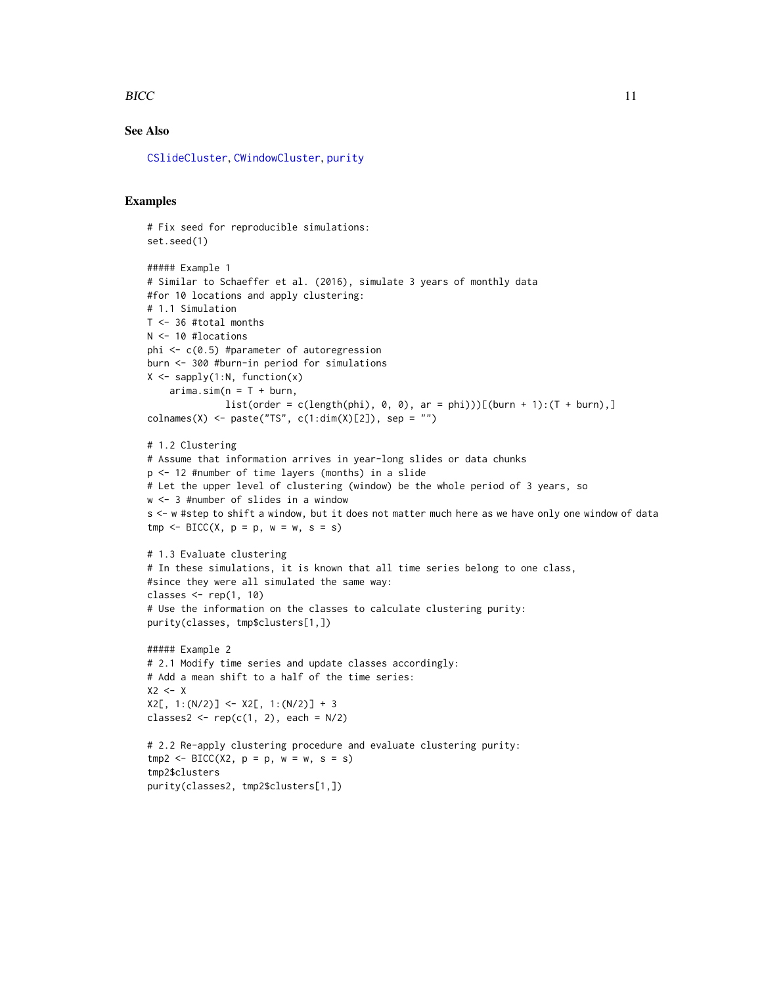#### <span id="page-10-0"></span> $BICC$  11

## See Also

[CSlideCluster](#page-13-1), [CWindowCluster](#page-16-1), [purity](#page-30-1)

#### Examples

```
# Fix seed for reproducible simulations:
set.seed(1)
##### Example 1
# Similar to Schaeffer et al. (2016), simulate 3 years of monthly data
#for 10 locations and apply clustering:
# 1.1 Simulation
T <- 36 #total months
N <- 10 #locations
phi <- c(0.5) #parameter of autoregression
burn <- 300 #burn-in period for simulations
X \leftarrow \text{supply}(1:N, function(x))arima.sim(n = T + burn,list(order = c(length(phi), 0, 0), ar = phi)))[(burn + 1):(T + burn),]colnames(X) <- paste("TS", c(1:dim(X)[2]), sep = "")
# 1.2 Clustering
# Assume that information arrives in year-long slides or data chunks
p <- 12 #number of time layers (months) in a slide
# Let the upper level of clustering (window) be the whole period of 3 years, so
w <- 3 #number of slides in a window
s <- w #step to shift a window, but it does not matter much here as we have only one window of data
tmp \leq BICC(X, p = p, w = w, s = s)# 1.3 Evaluate clustering
# In these simulations, it is known that all time series belong to one class,
#since they were all simulated the same way:
classes \leq rep(1, 10)
# Use the information on the classes to calculate clustering purity:
purity(classes, tmp$clusters[1,])
##### Example 2
# 2.1 Modify time series and update classes accordingly:
# Add a mean shift to a half of the time series:
X2 \leq -XX2[, 1:(N/2)] \leftarrow X2[, 1:(N/2)] + 3classes2 <- rep(c(1, 2), each = N/2)# 2.2 Re-apply clustering procedure and evaluate clustering purity:
tmp2 < - BICC(X2, p = p, w = w, s = s)tmp2$clusters
purity(classes2, tmp2$clusters[1,])
```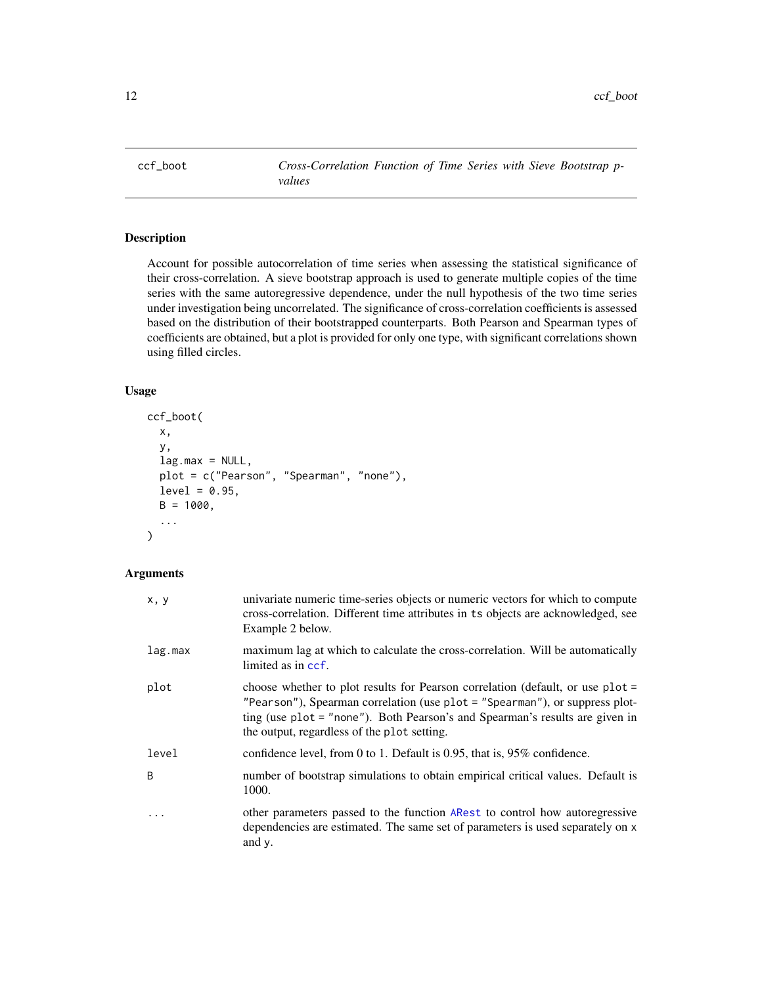<span id="page-11-0"></span>ccf\_boot *Cross-Correlation Function of Time Series with Sieve Bootstrap pvalues*

## Description

Account for possible autocorrelation of time series when assessing the statistical significance of their cross-correlation. A sieve bootstrap approach is used to generate multiple copies of the time series with the same autoregressive dependence, under the null hypothesis of the two time series under investigation being uncorrelated. The significance of cross-correlation coefficients is assessed based on the distribution of their bootstrapped counterparts. Both Pearson and Spearman types of coefficients are obtained, but a plot is provided for only one type, with significant correlations shown using filled circles.

## Usage

```
ccf_boot(
  x,
  y,
  lag.max = NULL,plot = c("Pearson", "Spearman", "none"),
  level = 0.95,B = 1000,...
)
```
## Arguments

| x, y       | univariate numeric time-series objects or numeric vectors for which to compute<br>cross-correlation. Different time attributes in ts objects are acknowledged, see<br>Example 2 below.                                                                                                       |
|------------|----------------------------------------------------------------------------------------------------------------------------------------------------------------------------------------------------------------------------------------------------------------------------------------------|
| lag.max    | maximum lag at which to calculate the cross-correlation. Will be automatically<br>limited as in ccf.                                                                                                                                                                                         |
| plot       | choose whether to plot results for Pearson correlation (default, or use plot =<br>"Pearson"), Spearman correlation (use plot = "Spearman"), or suppress plot-<br>ting (use plot = "none"). Both Pearson's and Spearman's results are given in<br>the output, regardless of the plot setting. |
| level      | confidence level, from 0 to 1. Default is $0.95$ , that is, $95\%$ confidence.                                                                                                                                                                                                               |
| B          | number of bootstrap simulations to obtain empirical critical values. Default is<br>1000.                                                                                                                                                                                                     |
| $\ddots$ . | other parameters passed to the function ARest to control how autoregressive<br>dependencies are estimated. The same set of parameters is used separately on x<br>and y.                                                                                                                      |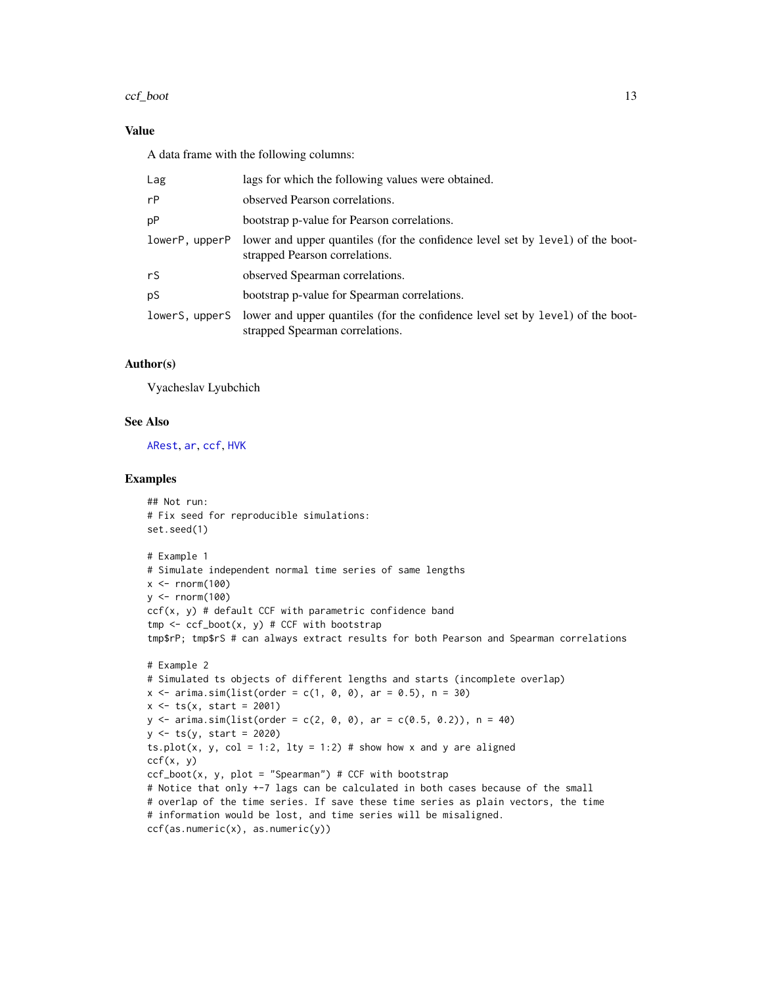#### <span id="page-12-0"></span>ccf\_boot 13

## Value

A data frame with the following columns:

| Lag            | lags for which the following values were obtained.                                                                |
|----------------|-------------------------------------------------------------------------------------------------------------------|
| rP             | observed Pearson correlations.                                                                                    |
| pР             | bootstrap p-value for Pearson correlations.                                                                       |
| lowerP, upperP | lower and upper quantiles (for the confidence level set by level) of the boot-<br>strapped Pearson correlations.  |
| rS             | observed Spearman correlations.                                                                                   |
| рS             | bootstrap p-value for Spearman correlations.                                                                      |
| lowerS, upperS | lower and upper quantiles (for the confidence level set by level) of the boot-<br>strapped Spearman correlations. |

#### Author(s)

Vyacheslav Lyubchich

#### See Also

[ARest](#page-3-1), [ar](#page-0-0), [ccf](#page-0-0), [HVK](#page-23-1)

#### Examples

```
## Not run:
# Fix seed for reproducible simulations:
set.seed(1)
# Example 1
# Simulate independent normal time series of same lengths
x < - rnorm(100)
y \le - rnorm(100)
ccf(x, y) # default CCF with parametric confidence band
tmp \leftarrow ccf\_boot(x, y) # CCF with bootstraptmp$rP; tmp$rS # can always extract results for both Pearson and Spearman correlations
# Example 2
# Simulated ts objects of different lengths and starts (incomplete overlap)
x \le -\arimes \arcsin(\text{list}(\text{order} = c(1, 0, 0), \text{ar} = 0.5), n = 30)x \le -ts(x, start = 2001)y \le -\arima.sim(list(order = c(2, 0, 0), ar = c(0.5, 0.2)), n = 40)y \le -ts(y, start = 2020)ts.plot(x, y, col = 1:2, lty = 1:2) # show how x and y are aligned
ccf(x, y)ccf_boot(x, y, plot = "Spearman") # CCF with bootstrap# Notice that only +-7 lags can be calculated in both cases because of the small
# overlap of the time series. If save these time series as plain vectors, the time
# information would be lost, and time series will be misaligned.
ccf(as.numeric(x), as.numeric(y))
```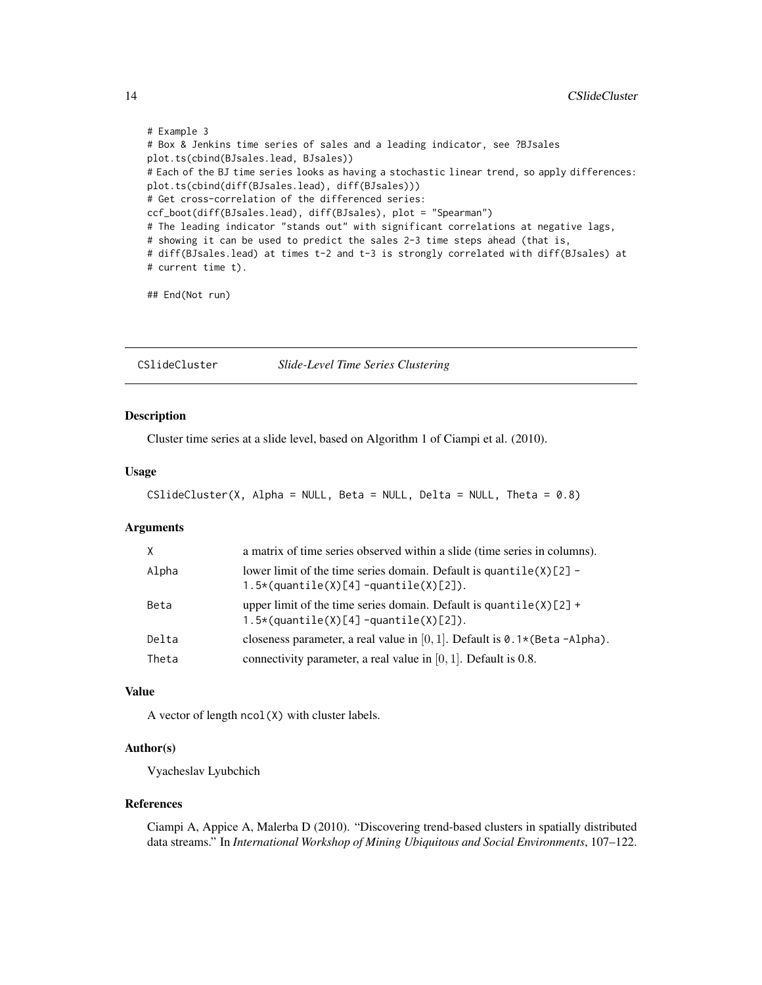```
# Example 3
# Box & Jenkins time series of sales and a leading indicator, see ?BJsales
plot.ts(cbind(BJsales.lead, BJsales))
# Each of the BJ time series looks as having a stochastic linear trend, so apply differences:
plot.ts(cbind(diff(BJsales.lead), diff(BJsales)))
# Get cross-correlation of the differenced series:
ccf_boot(diff(BJsales.lead), diff(BJsales), plot = "Spearman")
# The leading indicator "stands out" with significant correlations at negative lags,
# showing it can be used to predict the sales 2-3 time steps ahead (that is,
# diff(BJsales.lead) at times t-2 and t-3 is strongly correlated with diff(BJsales) at
# current time t).
```

```
## End(Not run)
```
<span id="page-13-1"></span>CSlideCluster *Slide-Level Time Series Clustering*

#### Description

Cluster time series at a slide level, based on Algorithm 1 of Ciampi et al. (2010).

## Usage

```
CSlideCluster(X, Alpha = NULL, Beta = NULL, Delta = NULL, Theta = 0.8)
```
#### Arguments

| $\times$ | a matrix of time series observed within a slide (time series in columns).                                        |
|----------|------------------------------------------------------------------------------------------------------------------|
| Alpha    | lower limit of the time series domain. Default is quantile $(X)[2]$ -<br>1.5*(quantile(X)[4] -quantile(X)[2]).   |
| Beta     | upper limit of the time series domain. Default is quantile $(X)[2]$ +<br>$1.5*(quantile(X)[4]$ -quantile(X)[2]). |
| Delta    | closeness parameter, a real value in [0, 1]. Default is $0.1*(Beta - Alpha)$ .                                   |
| Theta    | connectivity parameter, a real value in $[0, 1]$ . Default is 0.8.                                               |

## Value

A vector of length ncol(X) with cluster labels.

## Author(s)

Vyacheslav Lyubchich

#### References

Ciampi A, Appice A, Malerba D (2010). "Discovering trend-based clusters in spatially distributed data streams." In *International Workshop of Mining Ubiquitous and Social Environments*, 107–122.

<span id="page-13-0"></span>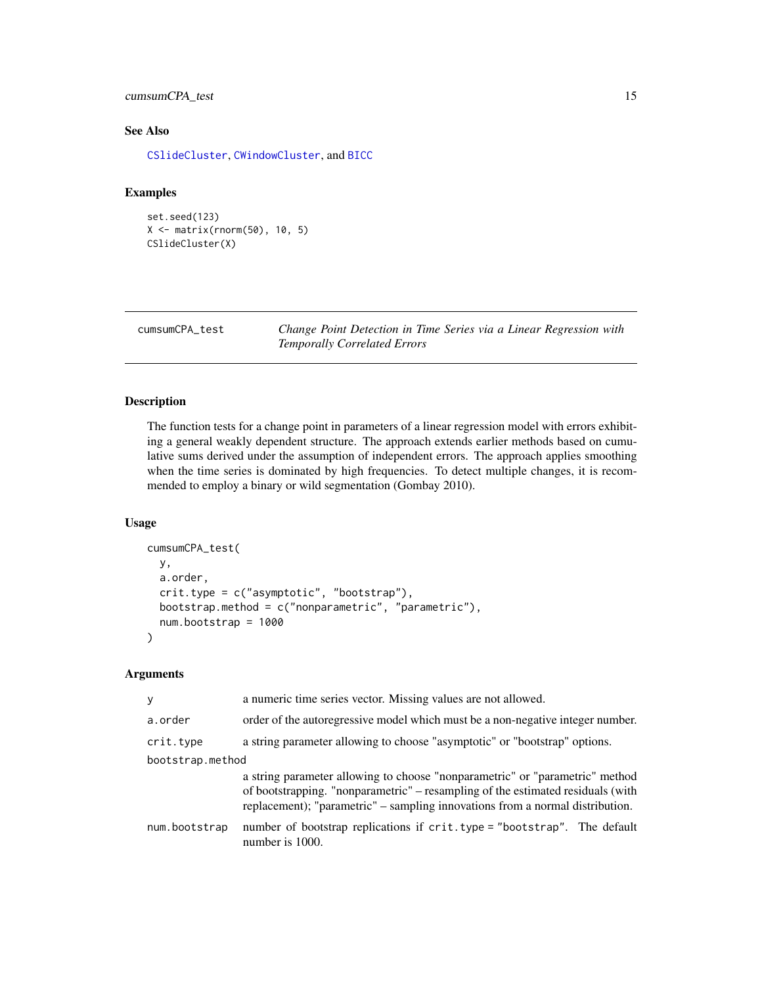## <span id="page-14-0"></span>cumsumCPA\_test 15

## See Also

[CSlideCluster](#page-13-1), [CWindowCluster](#page-16-1), and [BICC](#page-8-1)

## Examples

```
set.seed(123)
X <- matrix(rnorm(50), 10, 5)
CSlideCluster(X)
```
cumsumCPA\_test *Change Point Detection in Time Series via a Linear Regression with Temporally Correlated Errors*

## Description

The function tests for a change point in parameters of a linear regression model with errors exhibiting a general weakly dependent structure. The approach extends earlier methods based on cumulative sums derived under the assumption of independent errors. The approach applies smoothing when the time series is dominated by high frequencies. To detect multiple changes, it is recommended to employ a binary or wild segmentation (Gombay 2010).

#### Usage

```
cumsumCPA_test(
 y,
  a.order,
 crit.type = c("asymptotic", "bootstrap"),
 bootstrap.method = c("nonparametric", "parametric"),
  num.bootstrap = 1000
)
```
## Arguments

| У                | a numeric time series vector. Missing values are not allowed.                                                                                                                                                                                    |  |
|------------------|--------------------------------------------------------------------------------------------------------------------------------------------------------------------------------------------------------------------------------------------------|--|
| a.order          | order of the autoregressive model which must be a non-negative integer number.                                                                                                                                                                   |  |
| crit.type        | a string parameter allowing to choose "asymptotic" or "bootstrap" options.                                                                                                                                                                       |  |
| bootstrap.method |                                                                                                                                                                                                                                                  |  |
|                  | a string parameter allowing to choose "nonparametric" or "parametric" method<br>of bootstrapping. "nonparametric" – resampling of the estimated residuals (with<br>replacement); "parametric" – sampling innovations from a normal distribution. |  |
| num.bootstrap    | number of bootstrap replications if crit.type = "bootstrap". The default<br>number is 1000.                                                                                                                                                      |  |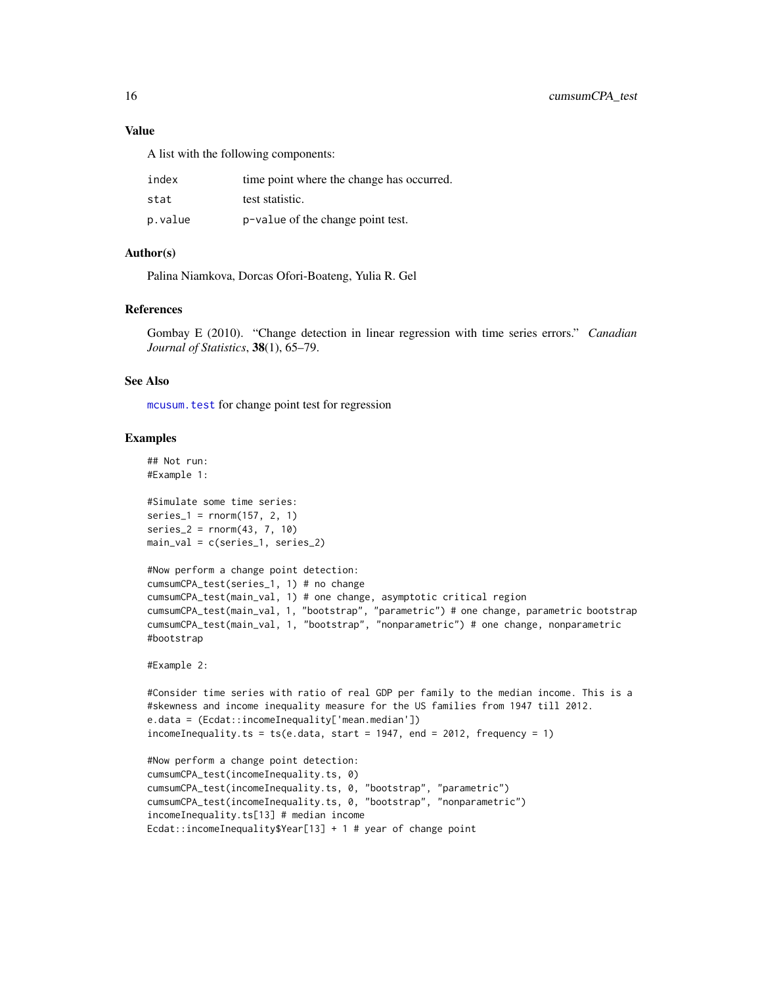## <span id="page-15-0"></span>Value

A list with the following components:

| index   | time point where the change has occurred. |
|---------|-------------------------------------------|
| stat    | test statistic.                           |
| p.value | p-value of the change point test.         |

## Author(s)

Palina Niamkova, Dorcas Ofori-Boateng, Yulia R. Gel

#### References

Gombay E (2010). "Change detection in linear regression with time series errors." *Canadian Journal of Statistics*, 38(1), 65–79.

#### See Also

[mcusum.test](#page-0-0) for change point test for regression

#### Examples

```
## Not run:
#Example 1:
#Simulate some time series:
series_1 = rnorm(157, 2, 1)
series_2 = rnorm(43, 7, 10)
main_val = c(series_1, series_2)
#Now perform a change point detection:
cumsumCPA_test(series_1, 1) # no change
cumsumCPA_test(main_val, 1) # one change, asymptotic critical region
cumsumCPA_test(main_val, 1, "bootstrap", "parametric") # one change, parametric bootstrap
cumsumCPA_test(main_val, 1, "bootstrap", "nonparametric") # one change, nonparametric
#bootstrap
#Example 2:
#Consider time series with ratio of real GDP per family to the median income. This is a
#skewness and income inequality measure for the US families from 1947 till 2012.
e.data = (Ecdat::incomeInequality['mean.median'])
incomeInequality.ts = ts(e.data, start = 1947, end = 2012, frequency = 1)#Now perform a change point detection:
cumsumCPA_test(incomeInequality.ts, 0)
cumsumCPA_test(incomeInequality.ts, 0, "bootstrap", "parametric")
cumsumCPA_test(incomeInequality.ts, 0, "bootstrap", "nonparametric")
```
incomeInequality.ts[13] # median income Ecdat::incomeInequality\$Year[13] + 1 # year of change point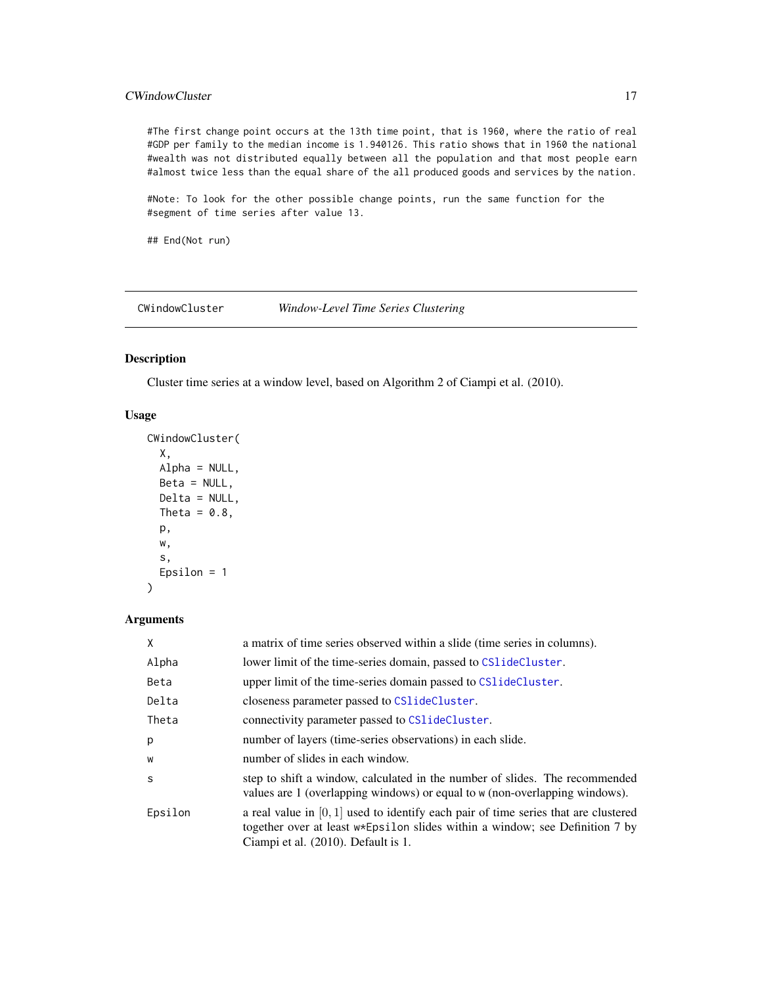## <span id="page-16-0"></span>**CWindowCluster 17**

#The first change point occurs at the 13th time point, that is 1960, where the ratio of real #GDP per family to the median income is 1.940126. This ratio shows that in 1960 the national #wealth was not distributed equally between all the population and that most people earn #almost twice less than the equal share of the all produced goods and services by the nation.

#Note: To look for the other possible change points, run the same function for the #segment of time series after value 13.

## End(Not run)

<span id="page-16-1"></span>CWindowCluster *Window-Level Time Series Clustering*

## Description

Cluster time series at a window level, based on Algorithm 2 of Ciampi et al. (2010).

## Usage

```
CWindowCluster(
  X,
  Alpha = NULL,
  Beta = NULL,
  Delta = NULL,
  Theta = 0.8,
  p,
  w,
  s,
  Epsilon = 1
\mathcal{L}
```
#### Arguments

| X       | a matrix of time series observed within a slide (time series in columns).                                                                                                                                    |
|---------|--------------------------------------------------------------------------------------------------------------------------------------------------------------------------------------------------------------|
| Alpha   | lower limit of the time-series domain, passed to CS1ideCluster.                                                                                                                                              |
| Beta    | upper limit of the time-series domain passed to CS1ideCluster.                                                                                                                                               |
| Delta   | closeness parameter passed to CS1ideCluster.                                                                                                                                                                 |
| Theta   | connectivity parameter passed to CS1ideCluster.                                                                                                                                                              |
| p       | number of layers (time-series observations) in each slide.                                                                                                                                                   |
| W       | number of slides in each window.                                                                                                                                                                             |
| S       | step to shift a window, calculated in the number of slides. The recommended<br>values are 1 (overlapping windows) or equal to w (non-overlapping windows).                                                   |
| Epsilon | a real value in $[0, 1]$ used to identify each pair of time series that are clustered<br>together over at least w*Epsilon slides within a window; see Definition 7 by<br>Ciampi et al. (2010). Default is 1. |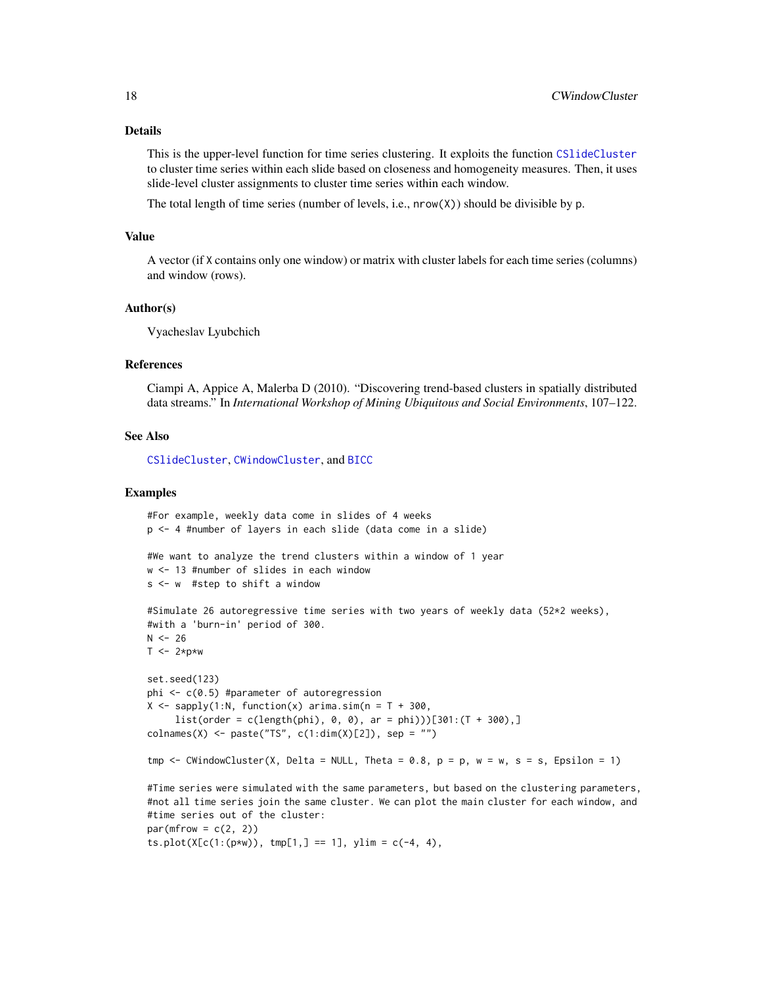#### <span id="page-17-0"></span>Details

This is the upper-level function for time series clustering. It exploits the function [CSlideCluster](#page-13-1) to cluster time series within each slide based on closeness and homogeneity measures. Then, it uses slide-level cluster assignments to cluster time series within each window.

The total length of time series (number of levels, i.e., nrow(X)) should be divisible by p.

#### Value

A vector (if X contains only one window) or matrix with cluster labels for each time series (columns) and window (rows).

#### Author(s)

Vyacheslav Lyubchich

#### References

Ciampi A, Appice A, Malerba D (2010). "Discovering trend-based clusters in spatially distributed data streams." In *International Workshop of Mining Ubiquitous and Social Environments*, 107–122.

#### See Also

[CSlideCluster](#page-13-1), [CWindowCluster](#page-16-1), and [BICC](#page-8-1)

#### Examples

```
#For example, weekly data come in slides of 4 weeks
p <- 4 #number of layers in each slide (data come in a slide)
#We want to analyze the trend clusters within a window of 1 year
w <- 13 #number of slides in each window
s <- w #step to shift a window
#Simulate 26 autoregressive time series with two years of weekly data (52*2 weeks),
#with a 'burn-in' period of 300.
N < - 26T \le -2*p*wset.seed(123)
phi <- c(0.5) #parameter of autoregression
X \leq - sapply(1:N, function(x) arima.sim(n = T + 300,
     list(order = c(length(phi), 0, 0), ar = phi))[301:(T + 300),]\text{colnames}(X) \leq \text{paste}("TS", c(1:dim(X)[2]), sep = "")tmp \le - CWindowCluster(X, Delta = NULL, Theta = 0.8, p = p, w = w, s = s, Epsilon = 1)
#Time series were simulated with the same parameters, but based on the clustering parameters,
#not all time series join the same cluster. We can plot the main cluster for each window, and
#time series out of the cluster:
par(mfrow = c(2, 2))ts.plot(X[c(1:(p*w)), tmp[1,] == 1], ylim = c(-4, 4),
```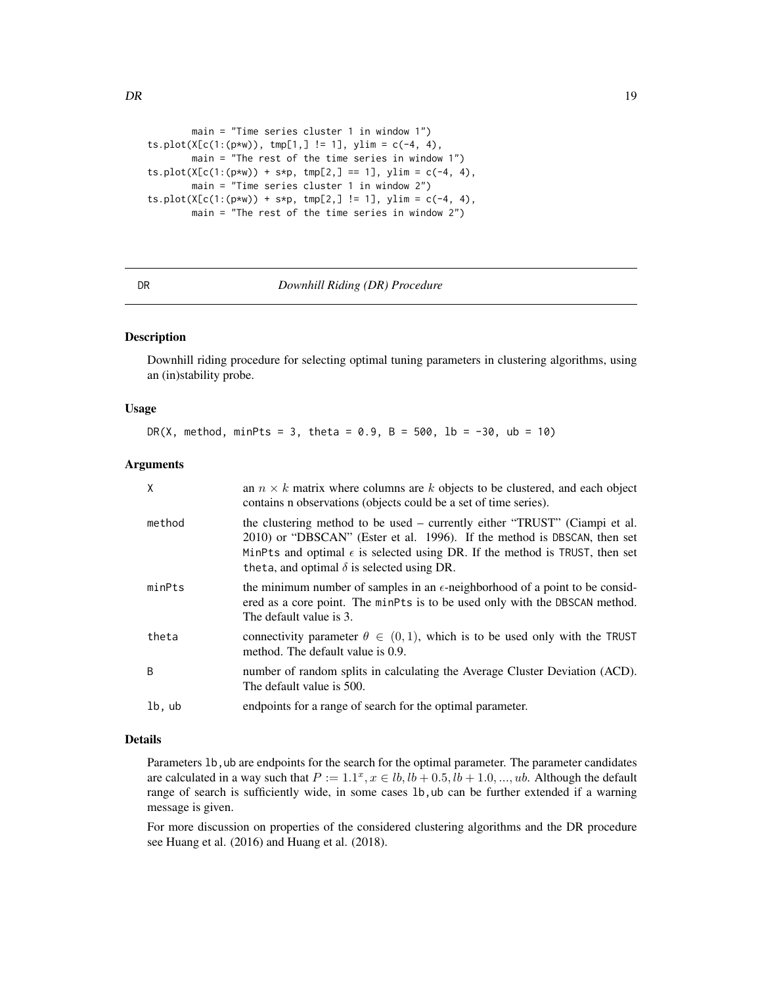```
main = "Time series cluster 1 in window 1")
ts.plot(X[c(1:(p*w)), tmp[1,] != 1], ylim = c(-4, 4),main = "The rest of the time series in window 1")
ts.plot(X[c(1:(p*w)) + s*p, tmp[2,] == 1], ylim = c(-4, 4),main = "Time series cluster 1 in window 2")
ts.plot(X[c(1:(p*w)) + s*p, tmp[2,] != 1], ylim = c(-4, 4),
       main = "The rest of the time series in window 2")
```
<span id="page-18-1"></span>DR *Downhill Riding (DR) Procedure*

#### Description

Downhill riding procedure for selecting optimal tuning parameters in clustering algorithms, using an (in)stability probe.

#### Usage

DR(X, method, minPts = 3, theta =  $0.9$ , B =  $500$ , lb =  $-30$ , ub =  $10$ )

#### Arguments

| X            | an $n \times k$ matrix where columns are k objects to be clustered, and each object<br>contains n observations (objects could be a set of time series).                                                                                                                                             |
|--------------|-----------------------------------------------------------------------------------------------------------------------------------------------------------------------------------------------------------------------------------------------------------------------------------------------------|
| method       | the clustering method to be used – currently either "TRUST" (Ciampi et al.<br>2010) or "DBSCAN" (Ester et al. 1996). If the method is DBSCAN, then set<br>MinPts and optimal $\epsilon$ is selected using DR. If the method is TRUST, then set<br>theta, and optimal $\delta$ is selected using DR. |
| minPts       | the minimum number of samples in an $\epsilon$ -neighborhood of a point to be consid-<br>ered as a core point. The minPts is to be used only with the DBSCAN method.<br>The default value is 3.                                                                                                     |
| theta        | connectivity parameter $\theta \in (0,1)$ , which is to be used only with the TRUST<br>method. The default value is 0.9.                                                                                                                                                                            |
| <sup>B</sup> | number of random splits in calculating the Average Cluster Deviation (ACD).<br>The default value is 500.                                                                                                                                                                                            |
| lb, ub       | endpoints for a range of search for the optimal parameter.                                                                                                                                                                                                                                          |

## Details

Parameters 1b, ub are endpoints for the search for the optimal parameter. The parameter candidates are calculated in a way such that  $P := 1.1^x, x \in lb, lb + 0.5, lb + 1.0, ..., ub$ . Although the default range of search is sufficiently wide, in some cases lb,ub can be further extended if a warning message is given.

For more discussion on properties of the considered clustering algorithms and the DR procedure see Huang et al. (2016) and Huang et al. (2018).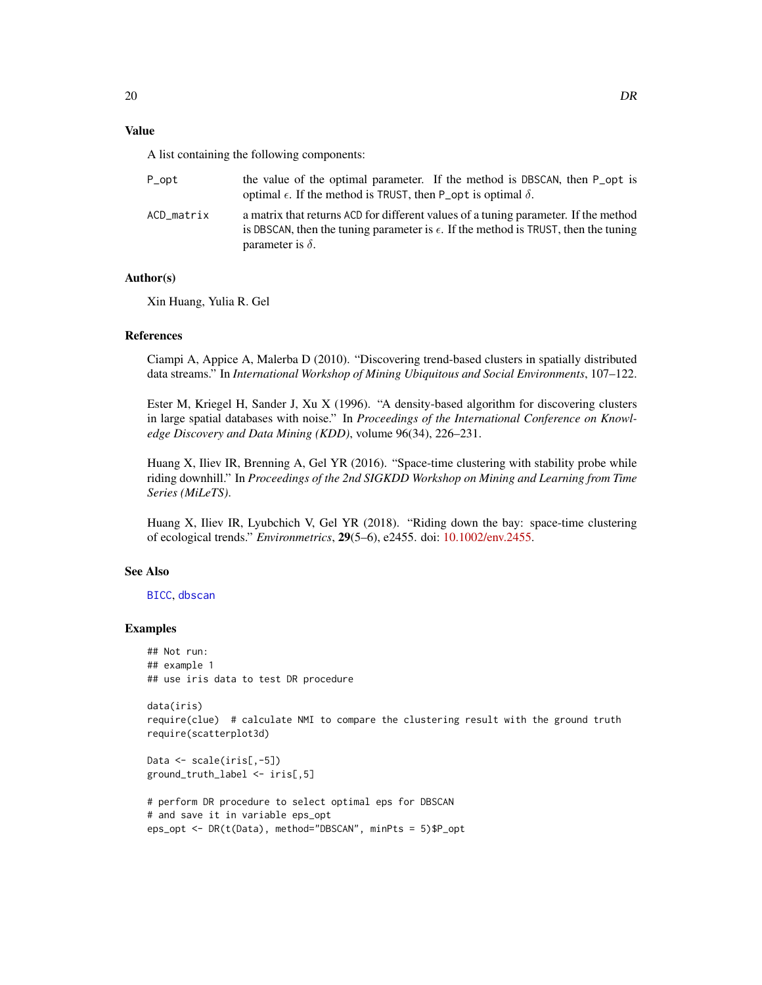#### <span id="page-19-0"></span>Value

A list containing the following components:

| P_opt      | the value of the optimal parameter. If the method is DBSCAN, then P opt is<br>optimal $\epsilon$ . If the method is TRUST, then P_opt is optimal $\delta$ .                                                    |
|------------|----------------------------------------------------------------------------------------------------------------------------------------------------------------------------------------------------------------|
| ACD matrix | a matrix that returns ACD for different values of a tuning parameter. If the method<br>is DBSCAN, then the tuning parameter is $\epsilon$ . If the method is TRUST, then the tuning<br>parameter is $\delta$ . |

#### Author(s)

Xin Huang, Yulia R. Gel

## References

Ciampi A, Appice A, Malerba D (2010). "Discovering trend-based clusters in spatially distributed data streams." In *International Workshop of Mining Ubiquitous and Social Environments*, 107–122.

Ester M, Kriegel H, Sander J, Xu X (1996). "A density-based algorithm for discovering clusters in large spatial databases with noise." In *Proceedings of the International Conference on Knowledge Discovery and Data Mining (KDD)*, volume 96(34), 226–231.

Huang X, Iliev IR, Brenning A, Gel YR (2016). "Space-time clustering with stability probe while riding downhill." In *Proceedings of the 2nd SIGKDD Workshop on Mining and Learning from Time Series (MiLeTS)*.

Huang X, Iliev IR, Lyubchich V, Gel YR (2018). "Riding down the bay: space-time clustering of ecological trends." *Environmetrics*, 29(5–6), e2455. doi: [10.1002/env.2455.](https://doi.org/10.1002/env.2455)

## See Also

[BICC](#page-8-1), [dbscan](#page-0-0)

#### Examples

## Not run: ## example 1 ## use iris data to test DR procedure

```
data(iris)
require(clue) # calculate NMI to compare the clustering result with the ground truth
require(scatterplot3d)
```

```
Data <- scale(iris[,-5])
ground_truth_label <- iris[,5]
```

```
# perform DR procedure to select optimal eps for DBSCAN
# and save it in variable eps_opt
eps_opt <- DR(t(Data), method="DBSCAN", minPts = 5)$P_opt
```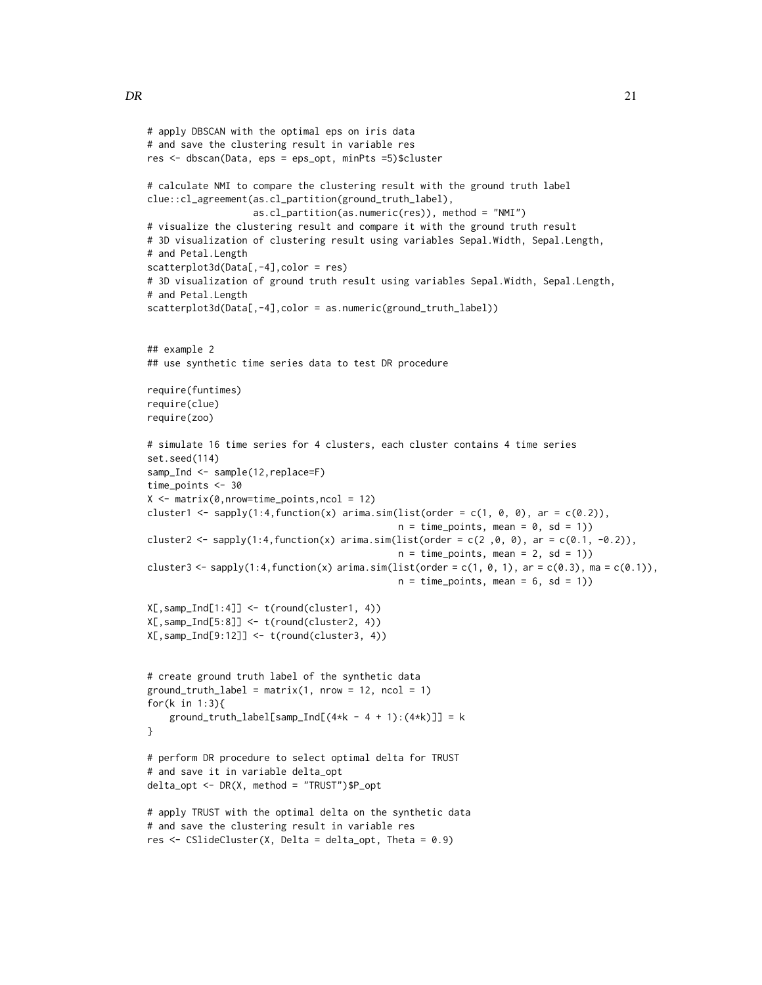}

```
# apply DBSCAN with the optimal eps on iris data
# and save the clustering result in variable res
res <- dbscan(Data, eps = eps_opt, minPts =5)$cluster
# calculate NMI to compare the clustering result with the ground truth label
clue::cl_agreement(as.cl_partition(ground_truth_label),
                   as.cl_partition(as.numeric(res)), method = "NMI")
# visualize the clustering result and compare it with the ground truth result
# 3D visualization of clustering result using variables Sepal.Width, Sepal.Length,
# and Petal.Length
scatterplot3d(Data[,-4],color = res)
# 3D visualization of ground truth result using variables Sepal.Width, Sepal.Length,
# and Petal.Length
scatterplot3d(Data[,-4],color = as.numeric(ground_truth_label))
## example 2
## use synthetic time series data to test DR procedure
require(funtimes)
require(clue)
require(zoo)
# simulate 16 time series for 4 clusters, each cluster contains 4 time series
set.seed(114)
samp_Ind <- sample(12, replace=F)
time_points <- 30
X \leq - matrix(0, nrow=time_points, ncol = 12)
cluster1 <- sapply(1:4, function(x) arima.sim(list(order = c(1, 0, 0), ar = c(0.2)),
                                             n = time\_points, mean = 0, sd = 1)cluster2 <- sapply(1:4,function(x) arima.sim(list(order = c(2,0,0), ar = c(0.1, -0.2)),
                                             n = time\_points, mean = 2, sd = 1))
cluster3 <- sapply(1:4,function(x) arima.sim(list(order = c(1, 0, 1), ar = c(0.3), ma = c(0.1)),
                                             n = time\_points, mean = 6, sd = 1))
X[,samp_Ind[1:4]] <- t(round(cluster1, 4))
X[,samp_Ind[5:8]] <- t(round(cluster2, 4))
X[,samp_Ind[9:12]] <- t(round(cluster3, 4))
# create ground truth label of the synthetic data
ground\_truth\_label = matrix(1, nrow = 12, ncol = 1)for(k in 1:3){
    ground_truth_label[samp_Ind[(4*k - 4 + 1):(4*k)]] = k
# perform DR procedure to select optimal delta for TRUST
# and save it in variable delta_opt
delta_opt <- DR(X, method = "TRUST")$P_opt
# apply TRUST with the optimal delta on the synthetic data
# and save the clustering result in variable res
```

```
res <- CSlideCluster(X, Delta = delta_opt, Theta = 0.9)
```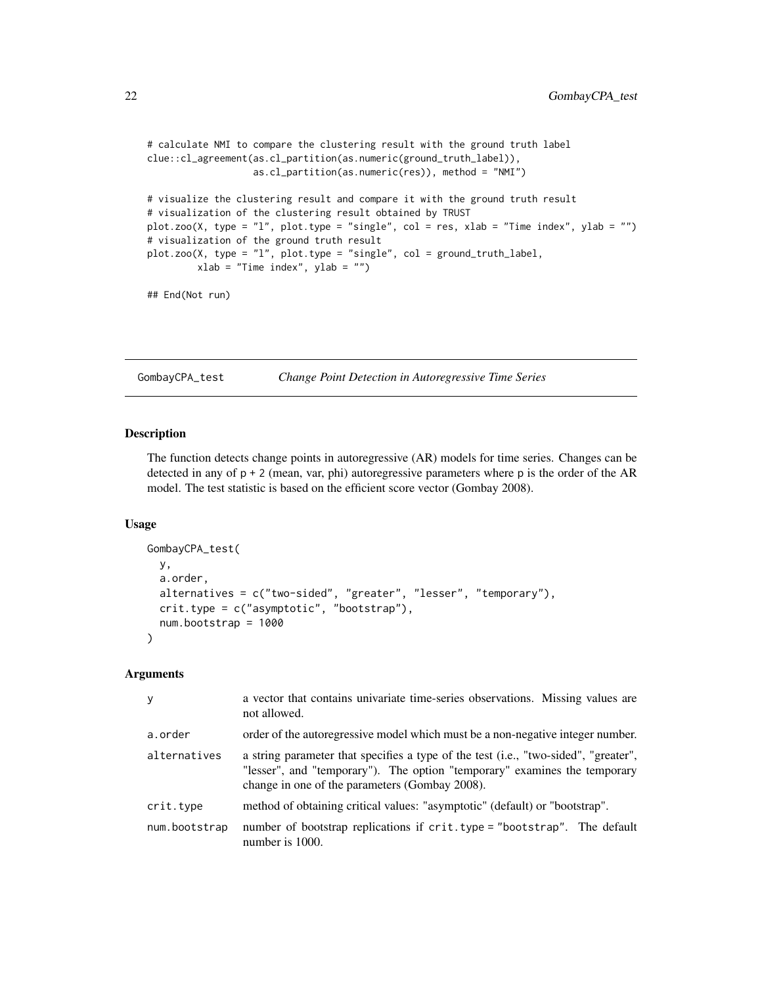```
# calculate NMI to compare the clustering result with the ground truth label
clue::cl_agreement(as.cl_partition(as.numeric(ground_truth_label)),
                  as.cl_partition(as.numeric(res)), method = "NMI")
# visualize the clustering result and compare it with the ground truth result
# visualization of the clustering result obtained by TRUST
plot.zoo(X, type = "l", plot.type = "single", col = res, xlab = "Time index", ylab = "")
# visualization of the ground truth result
plot.zoo(X, type = "l", plot.type = "single", col = ground_truth_label,
        xlab = "Time index", ylab = "")
## End(Not run)
```
GombayCPA\_test *Change Point Detection in Autoregressive Time Series*

#### Description

The function detects change points in autoregressive (AR) models for time series. Changes can be detected in any of p + 2 (mean, var, phi) autoregressive parameters where p is the order of the AR model. The test statistic is based on the efficient score vector (Gombay 2008).

#### Usage

```
GombayCPA_test(
 y,
  a.order,
 alternatives = c("two-sided", "greater", "lesser", "temporary"),
 crit.type = c("asymptotic", "bootstrap"),
  num.bootstrap = 1000
)
```
## Arguments

| y             | a vector that contains univariate time-series observations. Missing values are<br>not allowed.                                                                                                                     |
|---------------|--------------------------------------------------------------------------------------------------------------------------------------------------------------------------------------------------------------------|
| a.order       | order of the autoregressive model which must be a non-negative integer number.                                                                                                                                     |
| alternatives  | a string parameter that specifies a type of the test (i.e., "two-sided", "greater",<br>"lesser", and "temporary"). The option "temporary" examines the temporary<br>change in one of the parameters (Gombay 2008). |
| crit.type     | method of obtaining critical values: "asymptotic" (default) or "bootstrap".                                                                                                                                        |
| num.bootstrap | number of bootstrap replications if crit.type = "bootstrap". The default<br>number is 1000.                                                                                                                        |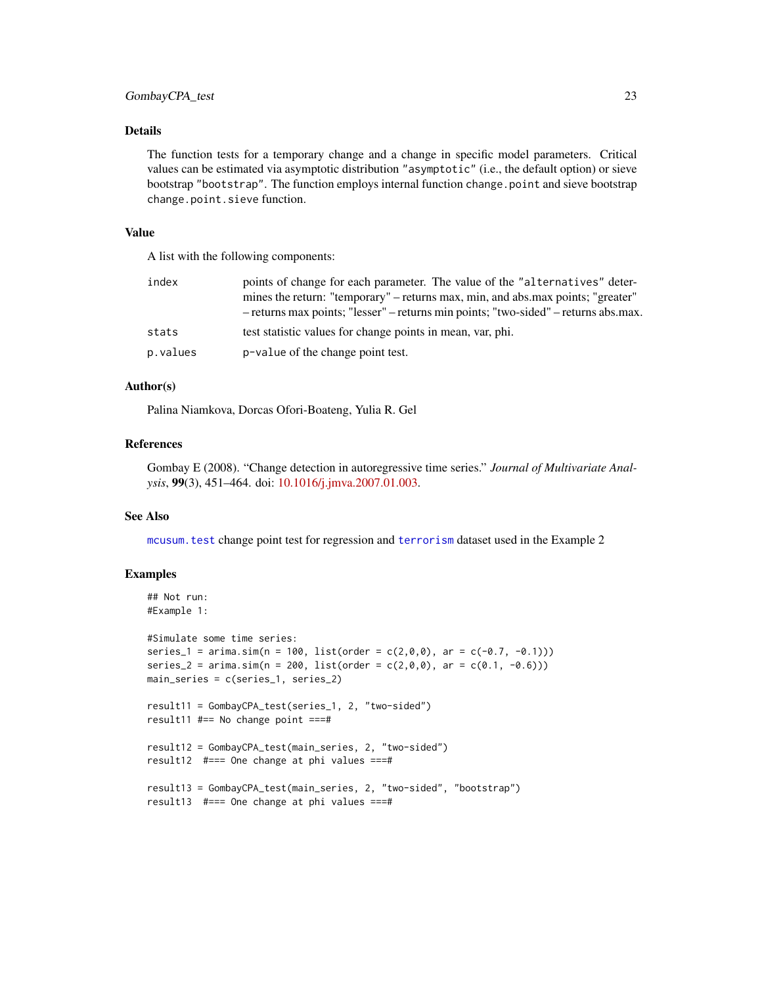## <span id="page-22-0"></span>Details

The function tests for a temporary change and a change in specific model parameters. Critical values can be estimated via asymptotic distribution "asymptotic" (i.e., the default option) or sieve bootstrap "bootstrap". The function employs internal function change.point and sieve bootstrap change.point.sieve function.

#### Value

A list with the following components:

| index    | points of change for each parameter. The value of the "alternatives" deter-<br>mines the return: "temporary" – returns max, min, and abs.max points; "greater"<br>- returns max points; "lesser" – returns min points; "two-sided" – returns abs.max. |
|----------|-------------------------------------------------------------------------------------------------------------------------------------------------------------------------------------------------------------------------------------------------------|
| stats    | test statistic values for change points in mean, var, phi.                                                                                                                                                                                            |
| p.values | p-value of the change point test.                                                                                                                                                                                                                     |

#### Author(s)

Palina Niamkova, Dorcas Ofori-Boateng, Yulia R. Gel

## References

Gombay E (2008). "Change detection in autoregressive time series." *Journal of Multivariate Analysis*, 99(3), 451–464. doi: [10.1016/j.jmva.2007.01.003.](https://doi.org/10.1016/j.jmva.2007.01.003)

#### See Also

[mcusum.test](#page-0-0) change point test for regression and [terrorism](#page-0-0) dataset used in the Example 2

#### Examples

```
## Not run:
#Example 1:
#Simulate some time series:
series_1 = arima.sim(n = 100, list(order = c(2,0,0), ar = c(-0.7, -0.1)))
series_2 = arima.sim(n = 200, list(order = c(2,0,0), ar = c(0.1, -0.6)))
main_series = c(series_1, series_2)
result11 = GombayCPA_test(series_1, 2, "two-sided")
result11 #== No change point ===#
result12 = GombayCPA_test(main_series, 2, "two-sided")
result12 #=== One change at phi values ===#
result13 = GombayCPA_test(main_series, 2, "two-sided", "bootstrap")
result13 #=== One change at phi values ===#
```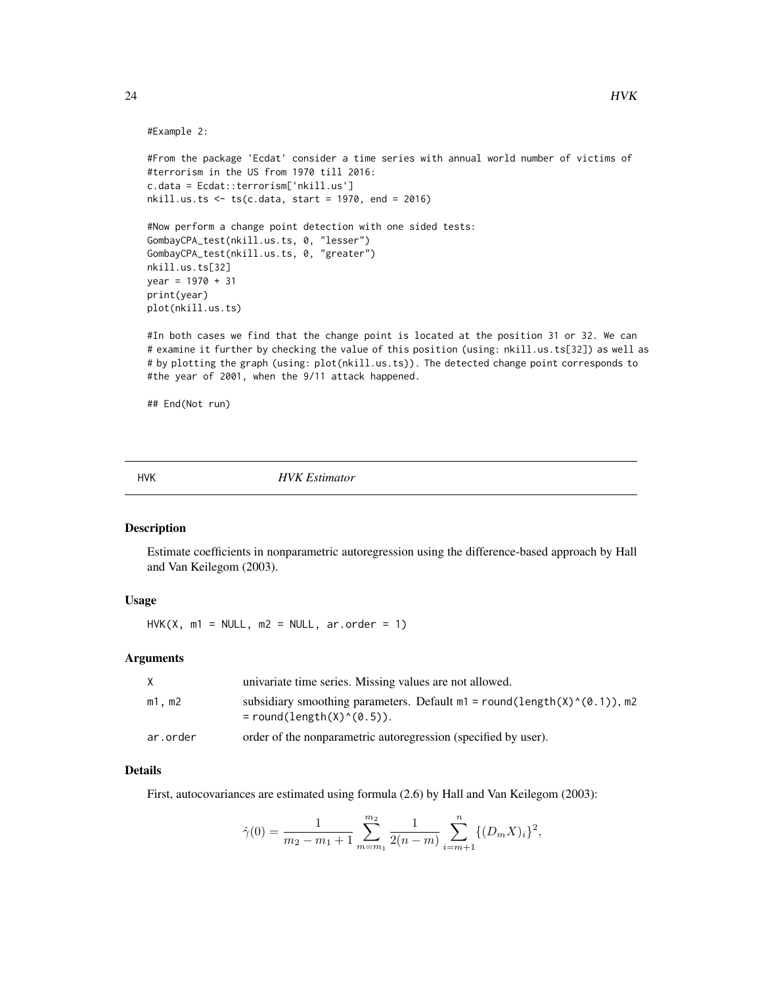#### #Example 2:

```
#From the package 'Ecdat' consider a time series with annual world number of victims of
#terrorism in the US from 1970 till 2016:
c.data = Ecdat::terrorism['nkill.us']
nkill.us.ts <- ts(c.data, start = 1970, end = 2016)
#Now perform a change point detection with one sided tests:
GombayCPA_test(nkill.us.ts, 0, "lesser")
GombayCPA_test(nkill.us.ts, 0, "greater")
nkill.us.ts[32]
year = 1970 + 31
print(year)
plot(nkill.us.ts)
```
#In both cases we find that the change point is located at the position 31 or 32. We can # examine it further by checking the value of this position (using: nkill.us.ts[32]) as well as # by plotting the graph (using: plot(nkill.us.ts)). The detected change point corresponds to #the year of 2001, when the 9/11 attack happened.

## End(Not run)

<span id="page-23-1"></span>HVK *HVK Estimator*

#### Description

Estimate coefficients in nonparametric autoregression using the difference-based approach by Hall and Van Keilegom (2003).

## Usage

 $HVK(X, m1 = NULL, m2 = NULL, ar.order = 1)$ 

#### Arguments

|          | univariate time series. Missing values are not allowed.                                                       |
|----------|---------------------------------------------------------------------------------------------------------------|
| m1.m2    | subsidiary smoothing parameters. Default $m1 = round(length(X)^{0}(0.1))$ , m2<br>$=$ round(length(X)^(0.5)). |
| ar.order | order of the nonparametric autoregression (specified by user).                                                |

#### Details

First, autocovariances are estimated using formula (2.6) by Hall and Van Keilegom (2003):

$$
\hat{\gamma}(0) = \frac{1}{m_2 - m_1 + 1} \sum_{m=m_1}^{m_2} \frac{1}{2(n-m)} \sum_{i=m+1}^n \{ (D_m X)_i \}^2,
$$

<span id="page-23-0"></span>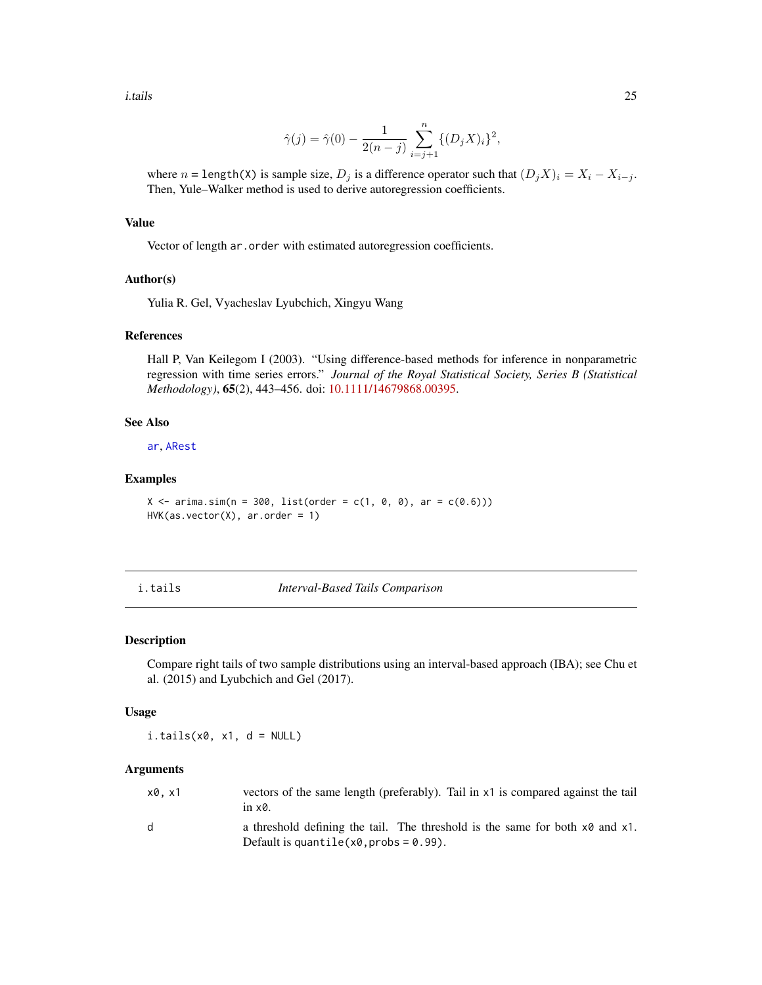<span id="page-24-0"></span>i.tails 25

$$
\hat{\gamma}(j) = \hat{\gamma}(0) - \frac{1}{2(n-j)} \sum_{i=j+1}^{n} \{ (D_j X)_i \}^2,
$$

where  $n = \text{length}(X)$  is sample size,  $D_j$  is a difference operator such that  $(D_j X)_i = X_i - X_{i-j}$ . Then, Yule–Walker method is used to derive autoregression coefficients.

#### Value

Vector of length ar.order with estimated autoregression coefficients.

## Author(s)

Yulia R. Gel, Vyacheslav Lyubchich, Xingyu Wang

## References

Hall P, Van Keilegom I (2003). "Using difference-based methods for inference in nonparametric regression with time series errors." *Journal of the Royal Statistical Society, Series B (Statistical Methodology)*, 65(2), 443–456. doi: [10.1111/14679868.00395.](https://doi.org/10.1111/1467-9868.00395)

#### See Also

[ar](#page-0-0), [ARest](#page-3-1)

## Examples

```
X \le -\arima.sim(n = 300, list(order = c(1, 0, 0), ar = c(0.6)))HVK(as.vector(X), arc.order = 1)
```
## <span id="page-24-1"></span>i.tails *Interval-Based Tails Comparison*

#### Description

Compare right tails of two sample distributions using an interval-based approach (IBA); see Chu et al. (2015) and Lyubchich and Gel (2017).

#### Usage

 $i.tails(x0, x1, d = NULL)$ 

#### Arguments

| x0.x1        | vectors of the same length (preferably). Tail in x1 is compared against the tail<br>in $\times$ 0.                              |
|--------------|---------------------------------------------------------------------------------------------------------------------------------|
| <sub>d</sub> | a threshold defining the tail. The threshold is the same for both $x0$ and $x1$ .<br>Default is quantile $(x0, probs = 0.99)$ . |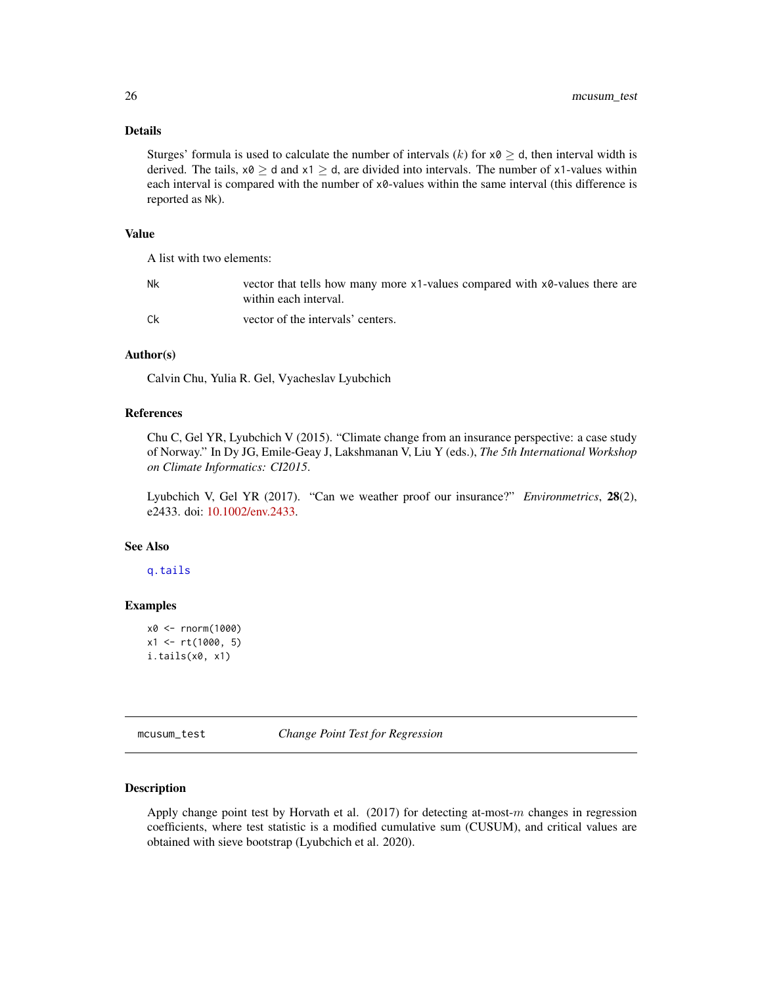## <span id="page-25-0"></span>Details

Sturges' formula is used to calculate the number of intervals  $(k)$  for  $x0 \ge d$ , then interval width is derived. The tails,  $x0 \ge d$  and  $x1 \ge d$ , are divided into intervals. The number of x1-values within each interval is compared with the number of  $x0$ -values within the same interval (this difference is reported as Nk).

## Value

A list with two elements:

| Nk | vector that tells how many more x1-values compared with x0-values there are<br>within each interval. |
|----|------------------------------------------------------------------------------------------------------|
| Сk | vector of the intervals' centers.                                                                    |

#### Author(s)

Calvin Chu, Yulia R. Gel, Vyacheslav Lyubchich

#### References

Chu C, Gel YR, Lyubchich V (2015). "Climate change from an insurance perspective: a case study of Norway." In Dy JG, Emile-Geay J, Lakshmanan V, Liu Y (eds.), *The 5th International Workshop on Climate Informatics: CI2015*.

Lyubchich V, Gel YR (2017). "Can we weather proof our insurance?" *Environmetrics*, 28(2), e2433. doi: [10.1002/env.2433.](https://doi.org/10.1002/env.2433)

## See Also

[q.tails](#page-32-1)

#### Examples

```
x0 <- rnorm(1000)
x1 <- rt(1000, 5)
i.tails(x0, x1)
```
mcusum\_test *Change Point Test for Regression*

## Description

Apply change point test by Horvath et al.  $(2017)$  for detecting at-most-m changes in regression coefficients, where test statistic is a modified cumulative sum (CUSUM), and critical values are obtained with sieve bootstrap (Lyubchich et al. 2020).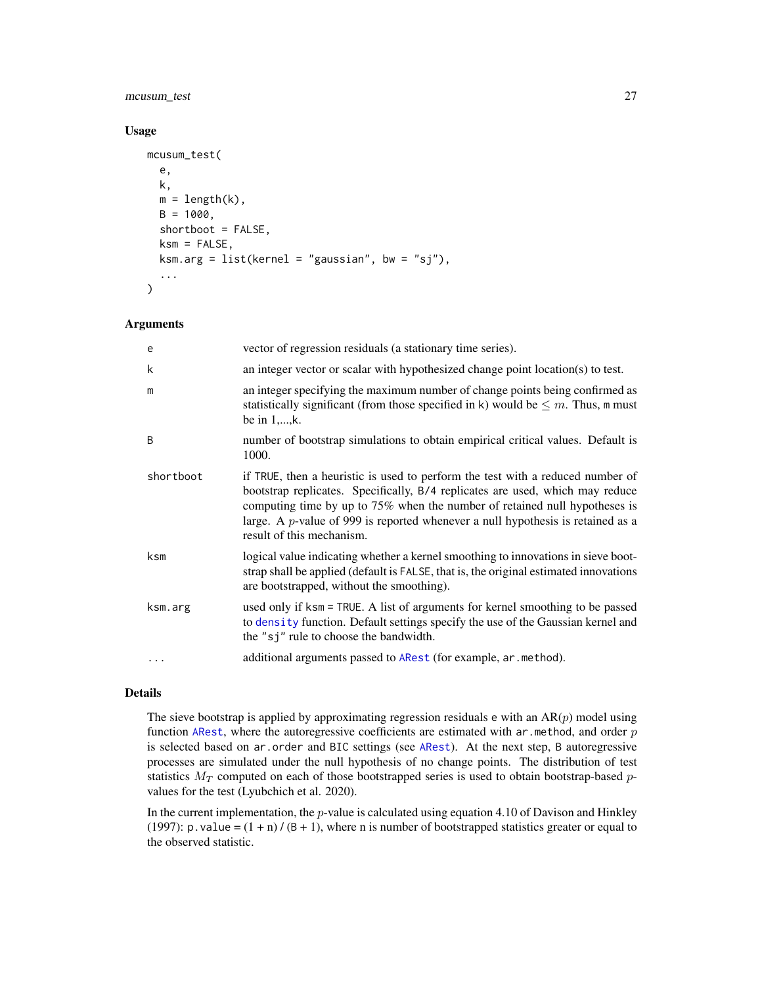## <span id="page-26-0"></span>mcusum\_test 27

## Usage

```
mcusum_test(
  e,
  k,
 m = length(k),
 B = 1000,
  shortboot = FALSE,
  ksm = FALSE,ksm.arg = list(kernel = "gaussian", bw = "sj"),
  ...
)
```
#### Arguments

| e         | vector of regression residuals (a stationary time series).                                                                                                                                                                                                                                                                                                       |
|-----------|------------------------------------------------------------------------------------------------------------------------------------------------------------------------------------------------------------------------------------------------------------------------------------------------------------------------------------------------------------------|
| k         | an integer vector or scalar with hypothesized change point location(s) to test.                                                                                                                                                                                                                                                                                  |
| m         | an integer specifying the maximum number of change points being confirmed as<br>statistically significant (from those specified in k) would be $\leq m$ . Thus, m must<br>be in $1, \ldots, k$ .                                                                                                                                                                 |
| B         | number of bootstrap simulations to obtain empirical critical values. Default is<br>1000.                                                                                                                                                                                                                                                                         |
| shortboot | if TRUE, then a heuristic is used to perform the test with a reduced number of<br>bootstrap replicates. Specifically, B/4 replicates are used, which may reduce<br>computing time by up to 75% when the number of retained null hypotheses is<br>large. A $p$ -value of 999 is reported whenever a null hypothesis is retained as a<br>result of this mechanism. |
| ksm       | logical value indicating whether a kernel smoothing to innovations in sieve boot-<br>strap shall be applied (default is FALSE, that is, the original estimated innovations<br>are bootstrapped, without the smoothing).                                                                                                                                          |
| ksm.arg   | used only if ksm = TRUE. A list of arguments for kernel smoothing to be passed<br>to density function. Default settings specify the use of the Gaussian kernel and<br>the "sj" rule to choose the bandwidth.                                                                                                                                                     |
| $\cdots$  | additional arguments passed to ARest (for example, ar . method).                                                                                                                                                                                                                                                                                                 |

## Details

The sieve bootstrap is applied by approximating regression residuals  $e$  with an AR $(p)$  model using function [ARest](#page-3-1), where the autoregressive coefficients are estimated with ar. method, and order  $p$ is selected based on ar.order and BIC settings (see [ARest](#page-3-1)). At the next step, B autoregressive processes are simulated under the null hypothesis of no change points. The distribution of test statistics  $M_T$  computed on each of those bootstrapped series is used to obtain bootstrap-based pvalues for the test (Lyubchich et al. 2020).

In the current implementation, the  $p$ -value is calculated using equation 4.10 of Davison and Hinkley (1997): p. value =  $(1 + n)/(B + 1)$ , where n is number of bootstrapped statistics greater or equal to the observed statistic.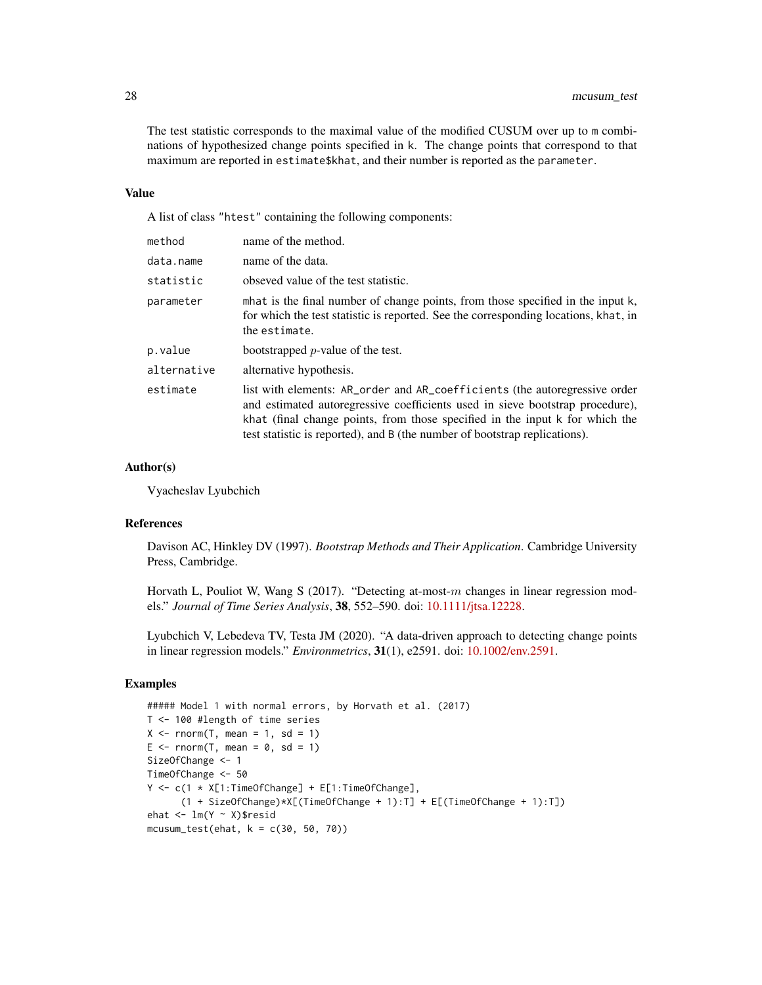The test statistic corresponds to the maximal value of the modified CUSUM over up to m combinations of hypothesized change points specified in k. The change points that correspond to that maximum are reported in estimate\$khat, and their number is reported as the parameter.

#### Value

A list of class "htest" containing the following components:

| method      | name of the method.                                                                                                                                                                                                                                                                                                       |
|-------------|---------------------------------------------------------------------------------------------------------------------------------------------------------------------------------------------------------------------------------------------------------------------------------------------------------------------------|
| data.name   | name of the data.                                                                                                                                                                                                                                                                                                         |
| statistic   | obseved value of the test statistic.                                                                                                                                                                                                                                                                                      |
| parameter   | mhat is the final number of change points, from those specified in the input k,<br>for which the test statistic is reported. See the corresponding locations, khat, in<br>the estimate.                                                                                                                                   |
| p.value     | bootstrapped $p$ -value of the test.                                                                                                                                                                                                                                                                                      |
| alternative | alternative hypothesis.                                                                                                                                                                                                                                                                                                   |
| estimate    | list with elements: AR_order and AR_coefficients (the autoregressive order<br>and estimated autoregressive coefficients used in sieve bootstrap procedure),<br>khat (final change points, from those specified in the input k for which the<br>test statistic is reported), and B (the number of bootstrap replications). |

#### Author(s)

Vyacheslav Lyubchich

## References

Davison AC, Hinkley DV (1997). *Bootstrap Methods and Their Application*. Cambridge University Press, Cambridge.

Horvath L, Pouliot W, Wang S (2017). "Detecting at-most- $m$  changes in linear regression models." *Journal of Time Series Analysis*, 38, 552–590. doi: [10.1111/jtsa.12228.](https://doi.org/10.1111/jtsa.12228)

Lyubchich V, Lebedeva TV, Testa JM (2020). "A data-driven approach to detecting change points in linear regression models." *Environmetrics*, 31(1), e2591. doi: [10.1002/env.2591.](https://doi.org/10.1002/env.2591)

## Examples

```
##### Model 1 with normal errors, by Horvath et al. (2017)
T <- 100 #length of time series
X \leq -rnorm(T, mean = 1, sd = 1)E \le - rnorm(T, mean = 0, sd = 1)
SizeOfChange <- 1
TimeOfChange <- 50
Y <- c(1 * X[1:TimeOfChange] + E[1:TimeOfChange],
      (1 + SizeOfChange)*X[(TimeOfChange + 1):T] + E[(TimeOfChange + 1):T])
ehat <- lm(Y ~ X)$resid
mcusum_test(ehat, k = c(30, 50, 70))
```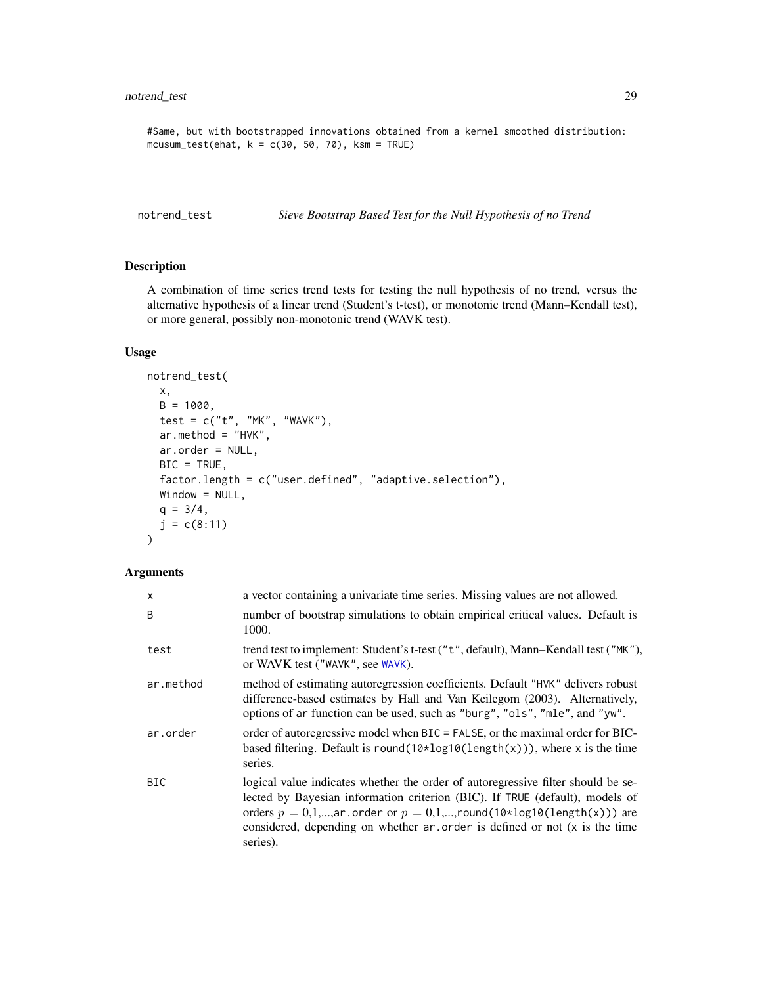## <span id="page-28-0"></span>notrend\_test 29

```
#Same, but with bootstrapped innovations obtained from a kernel smoothed distribution:
mcusum_test(ehat, k = c(30, 50, 70), ksm = TRUE)
```
notrend\_test *Sieve Bootstrap Based Test for the Null Hypothesis of no Trend*

## Description

A combination of time series trend tests for testing the null hypothesis of no trend, versus the alternative hypothesis of a linear trend (Student's t-test), or monotonic trend (Mann–Kendall test), or more general, possibly non-monotonic trend (WAVK test).

## Usage

```
notrend_test(
 x,
 B = 1000,test = c("t", "MK", "WAVK"),
 ar.method = "HVK",ar.order = NULL,
 BIC = TRUE,factor.length = c("user.defined", "adaptive.selection"),
 Window = NULL,q = 3/4,
  j = c(8:11))
```
## Arguments

| $\mathsf{x}$ | a vector containing a univariate time series. Missing values are not allowed.                                                                                                                                                                                                                                                         |
|--------------|---------------------------------------------------------------------------------------------------------------------------------------------------------------------------------------------------------------------------------------------------------------------------------------------------------------------------------------|
| B            | number of bootstrap simulations to obtain empirical critical values. Default is<br>1000.                                                                                                                                                                                                                                              |
| test         | trend test to implement: Student's t-test ("t", default), Mann–Kendall test ("MK"),<br>or WAVK test ("WAVK", see WAVK).                                                                                                                                                                                                               |
| ar.method    | method of estimating autoregression coefficients. Default "HVK" delivers robust<br>difference-based estimates by Hall and Van Keilegom (2003). Alternatively,<br>options of ar function can be used, such as "burg", "ols", "mle", and "yw".                                                                                          |
| ar.order     | order of autoregressive model when BIC = FALSE, or the maximal order for BIC-<br>based filtering. Default is round( $10 \times \log 10(\text{length}(x))$ ), where x is the time<br>series.                                                                                                                                           |
| <b>BIC</b>   | logical value indicates whether the order of autoregressive filter should be se-<br>lected by Bayesian information criterion (BIC). If TRUE (default), models of<br>orders $p = 0,1,,ar$ order or $p = 0,1,,round(10*log10(length(x)))$ are<br>considered, depending on whether ar order is defined or not (x is the time<br>series). |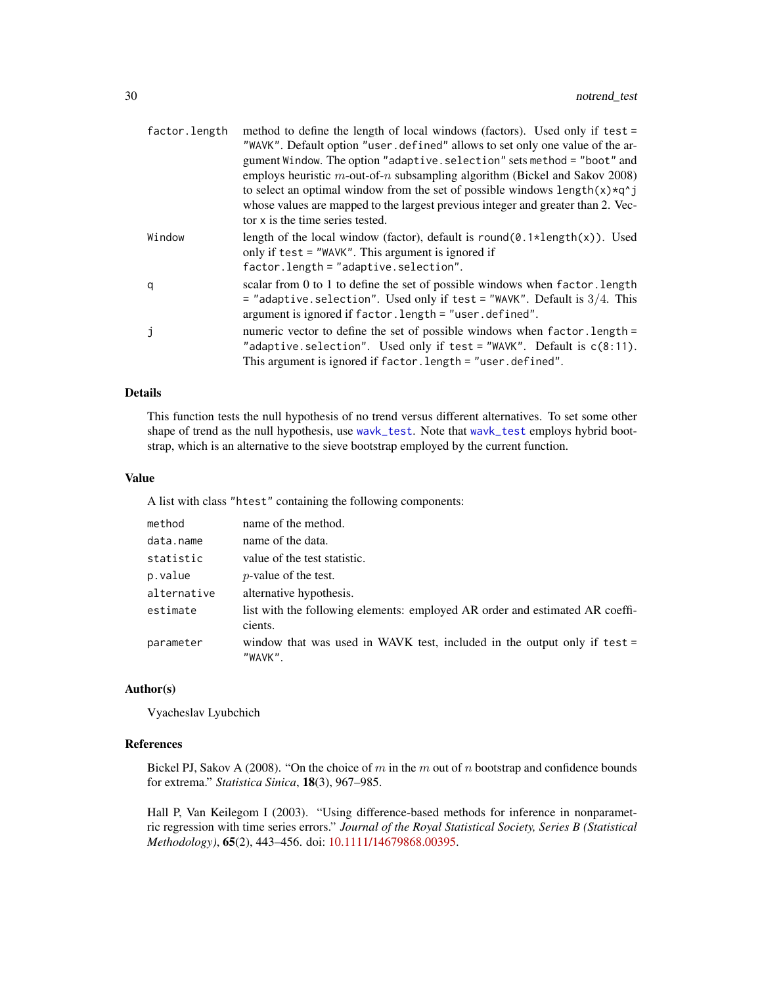<span id="page-29-0"></span>

| factor.length | method to define the length of local windows (factors). Used only if test =                                                                                                                                              |
|---------------|--------------------------------------------------------------------------------------------------------------------------------------------------------------------------------------------------------------------------|
|               | "WAVK". Default option "user.defined" allows to set only one value of the ar-                                                                                                                                            |
|               | gument Window. The option "adaptive. selection" sets method = "boot" and                                                                                                                                                 |
|               | employs heuristic $m$ -out-of-n subsampling algorithm (Bickel and Sakov 2008)                                                                                                                                            |
|               | to select an optimal window from the set of possible windows $length(x)*q^2 j$                                                                                                                                           |
|               | whose values are mapped to the largest previous integer and greater than 2. Vec-                                                                                                                                         |
|               | tor x is the time series tested.                                                                                                                                                                                         |
| Window        | length of the local window (factor), default is round( $\emptyset$ . 1*length(x)). Used<br>only if $test = "WAVK".$ This argument is ignored if                                                                          |
|               | $factor.length = "adaptive. selection".$                                                                                                                                                                                 |
| q             | scalar from 0 to 1 to define the set of possible windows when factor. Length<br>$=$ "adaptive selection". Used only if test $=$ "WAVK". Default is 3/4. This<br>argument is ignored if factor. length = "user. defined". |
| j             | numeric vector to define the set of possible windows when factor. length =<br>"adaptive.selection". Used only if test = "WAVK". Default is $c(8:11)$ .<br>This argument is ignored if factor. length = "user. defined".  |

## Details

This function tests the null hypothesis of no trend versus different alternatives. To set some other shape of trend as the null hypothesis, use [wavk\\_test](#page-42-1). Note that [wavk\\_test](#page-42-1) employs hybrid bootstrap, which is an alternative to the sieve bootstrap employed by the current function.

#### Value

A list with class "htest" containing the following components:

| method      | name of the method.                                                                     |
|-------------|-----------------------------------------------------------------------------------------|
| data.name   | name of the data.                                                                       |
| statistic   | value of the test statistic.                                                            |
| p.value     | <i>p</i> -value of the test.                                                            |
| alternative | alternative hypothesis.                                                                 |
| estimate    | list with the following elements: employed AR order and estimated AR coeffi-<br>cients. |
| parameter   | window that was used in WAVK test, included in the output only if test $=$<br>"WAVK".   |

#### Author(s)

Vyacheslav Lyubchich

## References

Bickel PJ, Sakov A (2008). "On the choice of m in the m out of n bootstrap and confidence bounds for extrema." *Statistica Sinica*, 18(3), 967–985.

Hall P, Van Keilegom I (2003). "Using difference-based methods for inference in nonparametric regression with time series errors." *Journal of the Royal Statistical Society, Series B (Statistical Methodology)*, 65(2), 443–456. doi: [10.1111/14679868.00395.](https://doi.org/10.1111/1467-9868.00395)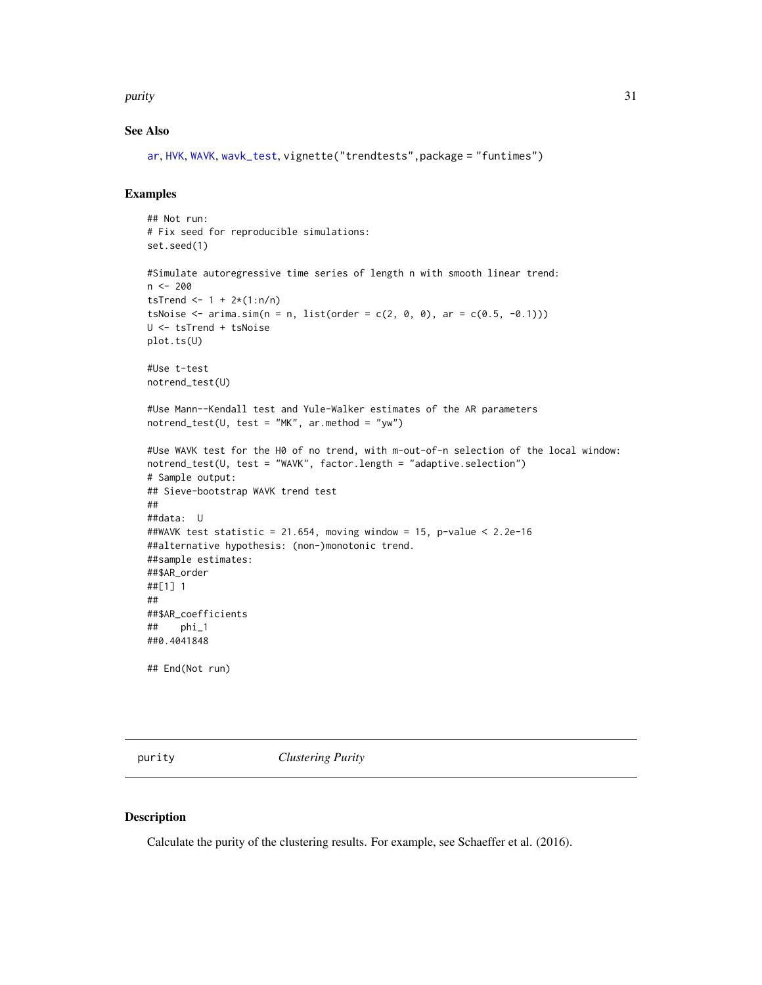#### <span id="page-30-0"></span>purity 31

## See Also

```
ar, HVK, WAVK, wavk_test, vignette("trendtests",package = "funtimes")
```
## Examples

```
## Not run:
# Fix seed for reproducible simulations:
set.seed(1)
#Simulate autoregressive time series of length n with smooth linear trend:
n <- 200
tsTrend <- 1 + 2*(1:n/n)tsNoise \leq arima.sim(n = n, list(order = c(2, 0, 0), ar = c(0.5, -0.1)))
U <- tsTrend + tsNoise
plot.ts(U)
#Use t-test
notrend_test(U)
#Use Mann--Kendall test and Yule-Walker estimates of the AR parameters
notrend_test(U, test = "MK", ar.method = "yw")#Use WAVK test for the H0 of no trend, with m-out-of-n selection of the local window:
notrend_test(U, test = "WAVK", factor.length = "adaptive.selection")
# Sample output:
## Sieve-bootstrap WAVK trend test
##
##data: U
##WAVK test statistic = 21.654, moving window = 15, p-value < 2.2e-16
##alternative hypothesis: (non-)monotonic trend.
##sample estimates:
##$AR_order
##[1] 1
##
##$AR_coefficients
## phi_1
##0.4041848
## End(Not run)
```
<span id="page-30-1"></span>purity *Clustering Purity*

#### Description

Calculate the purity of the clustering results. For example, see Schaeffer et al. (2016).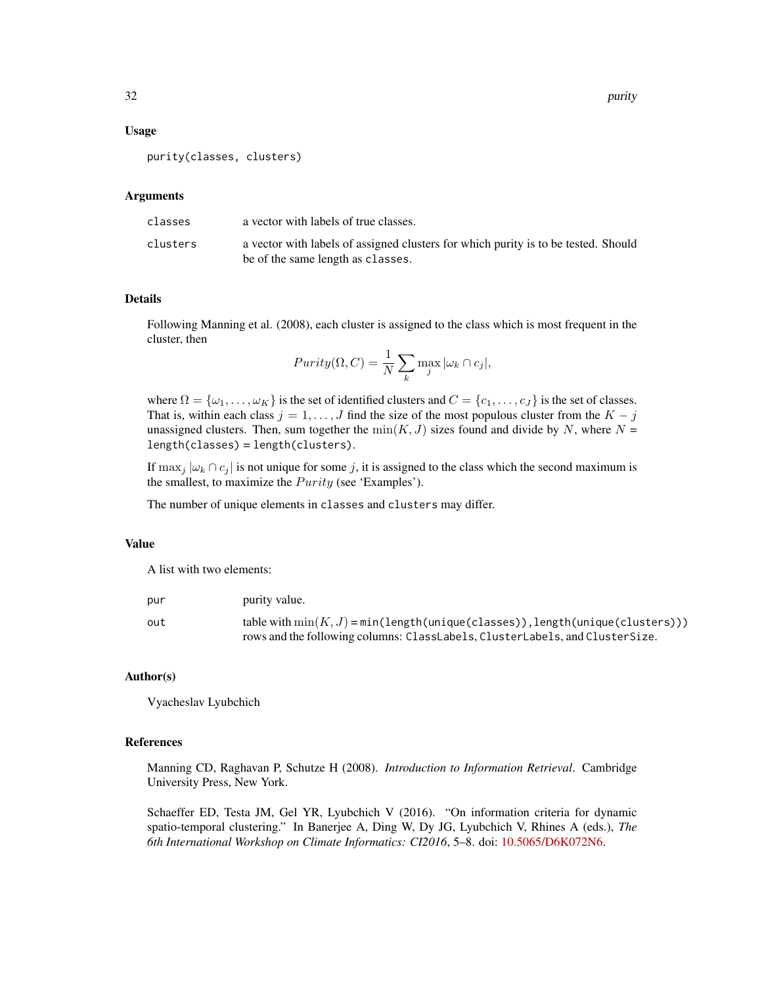#### Usage

purity(classes, clusters)

#### Arguments

| classes  | a vector with labels of true classes.                                              |
|----------|------------------------------------------------------------------------------------|
| clusters | a vector with labels of assigned clusters for which purity is to be tested. Should |
|          | be of the same length as classes.                                                  |

#### Details

Following Manning et al. (2008), each cluster is assigned to the class which is most frequent in the cluster, then

$$
Purity(\Omega, C) = \frac{1}{N} \sum_{k} \max_{j} |\omega_k \cap c_j|,
$$

where  $\Omega = {\omega_1, \dots, \omega_K}$  is the set of identified clusters and  $C = {c_1, \dots, c_J}$  is the set of classes. That is, within each class  $j = 1, \ldots, J$  find the size of the most populous cluster from the  $K - j$ unassigned clusters. Then, sum together the  $min(K, J)$  sizes found and divide by N, where  $N =$ length(classes) = length(clusters).

If  $\max_j |\omega_k \cap c_j|$  is not unique for some j, it is assigned to the class which the second maximum is the smallest, to maximize the  $Purity$  (see 'Examples').

The number of unique elements in classes and clusters may differ.

#### Value

A list with two elements:

| pur | purity value.                                                                                                                                                   |
|-----|-----------------------------------------------------------------------------------------------------------------------------------------------------------------|
| out | table with $min(K, J) = min(length(unique(classes)), length(unique(clusters)))$<br>rows and the following columns: ClassLabels, ClusterLabels, and ClusterSize. |

## Author(s)

Vyacheslav Lyubchich

#### References

Manning CD, Raghavan P, Schutze H (2008). *Introduction to Information Retrieval*. Cambridge University Press, New York.

Schaeffer ED, Testa JM, Gel YR, Lyubchich V (2016). "On information criteria for dynamic spatio-temporal clustering." In Banerjee A, Ding W, Dy JG, Lyubchich V, Rhines A (eds.), *The 6th International Workshop on Climate Informatics: CI2016*, 5–8. doi: [10.5065/D6K072N6.](https://doi.org/10.5065/D6K072N6)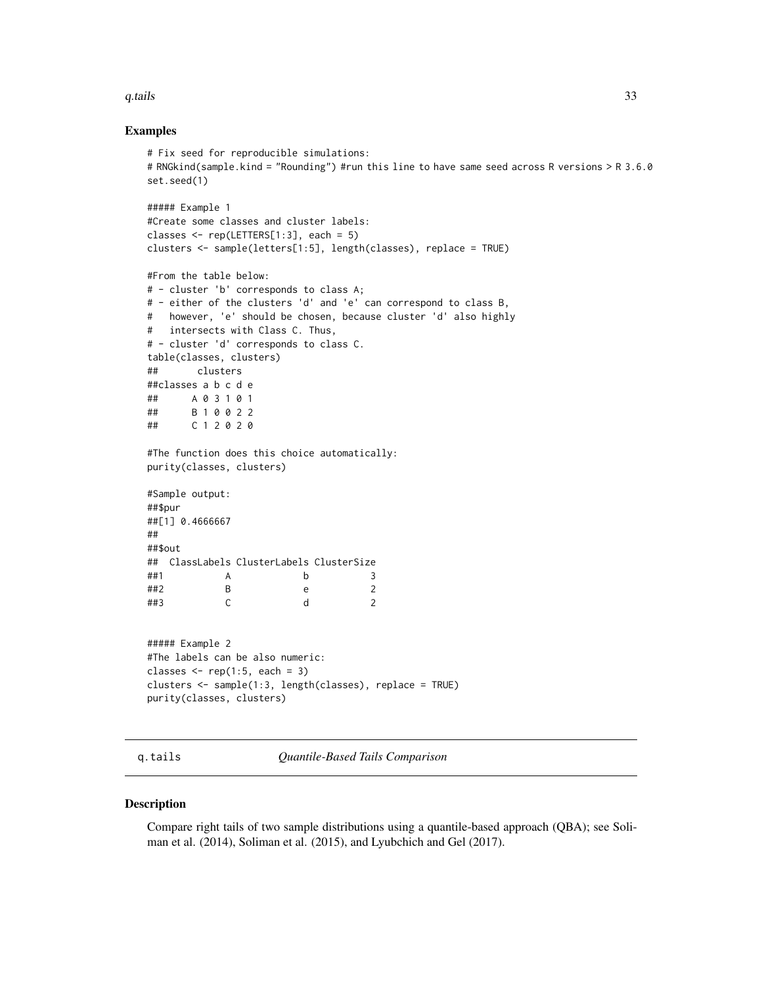#### <span id="page-32-0"></span> $q.$ tails  $\qquad \qquad$  33

#### Examples

```
# Fix seed for reproducible simulations:
# RNGkind(sample.kind = "Rounding") #run this line to have same seed across R versions > R 3.6.0
set.seed(1)
##### Example 1
#Create some classes and cluster labels:
classes \leq rep(LETTERS[1:3], each = 5)
clusters <- sample(letters[1:5], length(classes), replace = TRUE)
#From the table below:
# - cluster 'b' corresponds to class A;
# - either of the clusters 'd' and 'e' can correspond to class B,
# however, 'e' should be chosen, because cluster 'd' also highly
# intersects with Class C. Thus,
# - cluster 'd' corresponds to class C.
table(classes, clusters)
## clusters
##classes a b c d e
## A 0 3 1 0 1
## B 1 0 0 2 2
## C 1 2 0 2 0
#The function does this choice automatically:
purity(classes, clusters)
#Sample output:
##$pur
##[1] 0.4666667
##
##$out
## ClassLabels ClusterLabels ClusterSize
##1 A b 3
##2 B e 2
##3 C d 2
##### Example 2
#The labels can be also numeric:
classes \leq rep(1:5, each = 3)
clusters <- sample(1:3, length(classes), replace = TRUE)
purity(classes, clusters)
```
<span id="page-32-1"></span>q.tails *Quantile-Based Tails Comparison*

## Description

Compare right tails of two sample distributions using a quantile-based approach (QBA); see Soliman et al. (2014), Soliman et al. (2015), and Lyubchich and Gel (2017).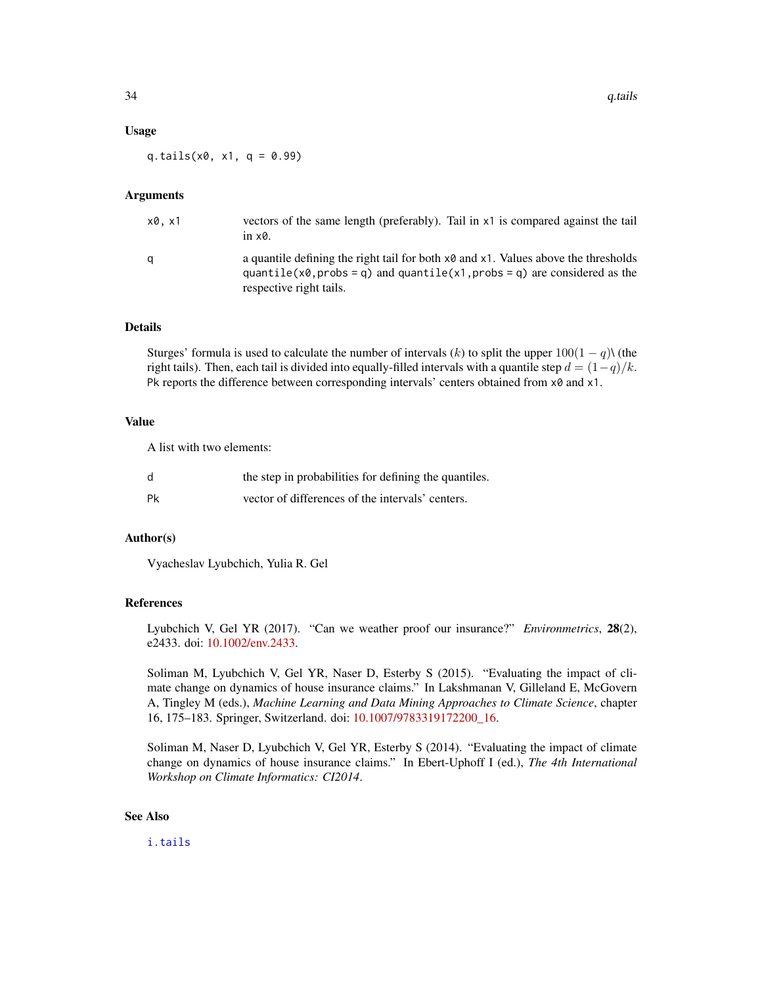#### <span id="page-33-0"></span>Usage

q.tails( $x0$ ,  $x1$ ,  $q = 0.99$ )

#### Arguments

| x0.x1 | vectors of the same length (preferably). Tail in x1 is compared against the tail<br>in $\times 0$ .                                                                                                                 |
|-------|---------------------------------------------------------------------------------------------------------------------------------------------------------------------------------------------------------------------|
|       | a quantile defining the right tail for both $\times 0$ and $\times 1$ . Values above the thresholds<br>quantile( $x0$ , probs = q) and quantile( $x1$ , probs = q) are considered as the<br>respective right tails. |

## Details

Sturges' formula is used to calculate the number of intervals (k) to split the upper  $100(1 - q)$ ) (the right tails). Then, each tail is divided into equally-filled intervals with a quantile step  $d = (1-q)/k$ . Pk reports the difference between corresponding intervals' centers obtained from  $x0$  and  $x1$ .

#### Value

A list with two elements:

| d  | the step in probabilities for defining the quantiles. |
|----|-------------------------------------------------------|
| Pk | vector of differences of the intervals' centers.      |

## Author(s)

Vyacheslav Lyubchich, Yulia R. Gel

## References

Lyubchich V, Gel YR (2017). "Can we weather proof our insurance?" *Environmetrics*, 28(2), e2433. doi: [10.1002/env.2433.](https://doi.org/10.1002/env.2433)

Soliman M, Lyubchich V, Gel YR, Naser D, Esterby S (2015). "Evaluating the impact of climate change on dynamics of house insurance claims." In Lakshmanan V, Gilleland E, McGovern A, Tingley M (eds.), *Machine Learning and Data Mining Approaches to Climate Science*, chapter 16, 175–183. Springer, Switzerland. doi: [10.1007/9783319172200\\_16.](https://doi.org/10.1007/978-3-319-17220-0_16)

Soliman M, Naser D, Lyubchich V, Gel YR, Esterby S (2014). "Evaluating the impact of climate change on dynamics of house insurance claims." In Ebert-Uphoff I (ed.), *The 4th International Workshop on Climate Informatics: CI2014*.

## See Also

[i.tails](#page-24-1)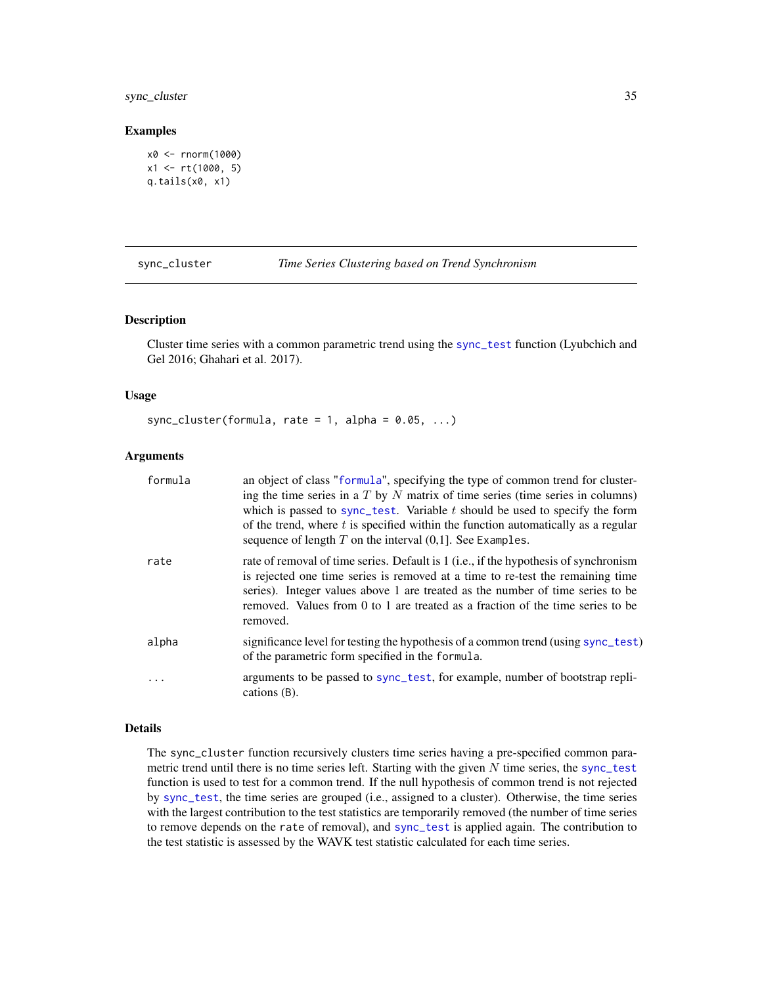## <span id="page-34-0"></span>sync\_cluster 35

#### Examples

```
x0 <- rnorm(1000)
x1 \leftarrow rt(1000, 5)q.tails(x0, x1)
```
sync\_cluster *Time Series Clustering based on Trend Synchronism*

## Description

Cluster time series with a common parametric trend using the [sync\\_test](#page-37-1) function (Lyubchich and Gel 2016; Ghahari et al. 2017).

#### Usage

sync\_cluster(formula, rate = 1, alpha =  $0.05, ...$ )

#### Arguments

| formula  | an object of class "formula", specifying the type of common trend for cluster-<br>ing the time series in a $T$ by $N$ matrix of time series (time series in columns)<br>which is passed to sync_test. Variable $t$ should be used to specify the form<br>of the trend, where $t$ is specified within the function automatically as a regular<br>sequence of length $T$ on the interval $(0,1]$ . See Examples. |
|----------|----------------------------------------------------------------------------------------------------------------------------------------------------------------------------------------------------------------------------------------------------------------------------------------------------------------------------------------------------------------------------------------------------------------|
| rate     | rate of removal of time series. Default is 1 (i.e., if the hypothesis of synchronism<br>is rejected one time series is removed at a time to re-test the remaining time<br>series). Integer values above 1 are treated as the number of time series to be<br>removed. Values from 0 to 1 are treated as a fraction of the time series to be<br>removed.                                                         |
| alpha    | significance level for testing the hypothesis of a common trend (using sync_test)<br>of the parametric form specified in the formula.                                                                                                                                                                                                                                                                          |
| $\ddots$ | arguments to be passed to sync_test, for example, number of bootstrap repli-<br>cations (B).                                                                                                                                                                                                                                                                                                                   |

#### Details

The sync\_cluster function recursively clusters time series having a pre-specified common parametric trend until there is no time series left. Starting with the given  $N$  time series, the [sync\\_test](#page-37-1) function is used to test for a common trend. If the null hypothesis of common trend is not rejected by [sync\\_test](#page-37-1), the time series are grouped (i.e., assigned to a cluster). Otherwise, the time series with the largest contribution to the test statistics are temporarily removed (the number of time series to remove depends on the rate of removal), and [sync\\_test](#page-37-1) is applied again. The contribution to the test statistic is assessed by the WAVK test statistic calculated for each time series.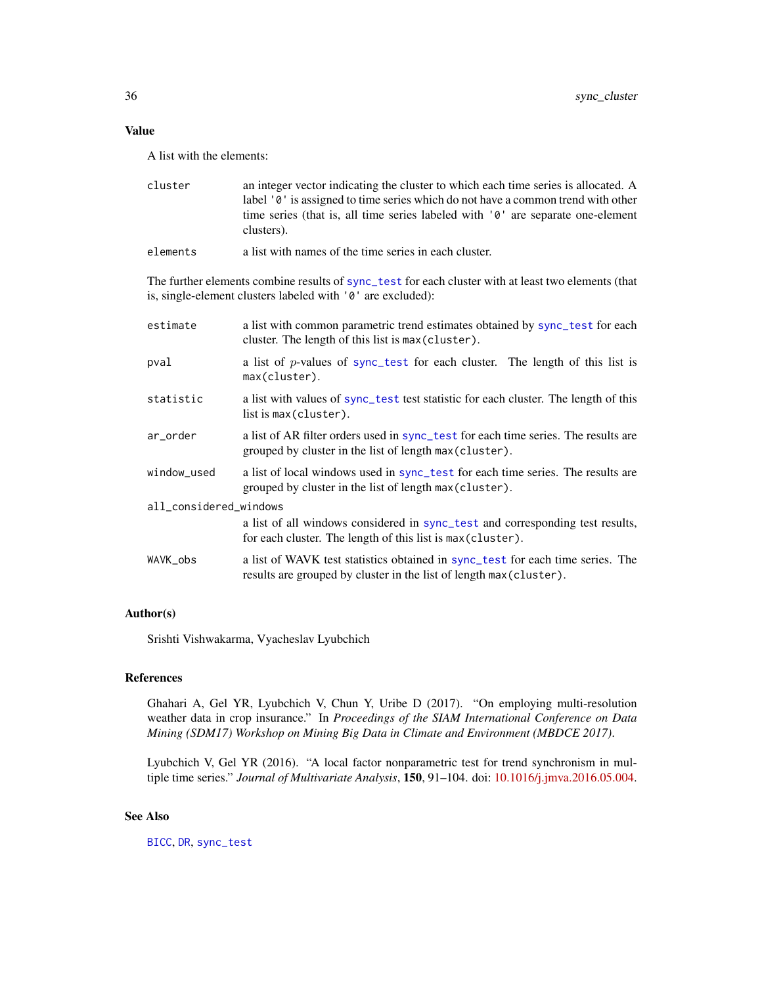## <span id="page-35-0"></span>Value

A list with the elements:

| cluster | an integer vector indicating the cluster to which each time series is allocated. A            |
|---------|-----------------------------------------------------------------------------------------------|
|         | label '0' is assigned to time series which do not have a common trend with other              |
|         | time series (that is, all time series labeled with '0' are separate one-element<br>clusters). |
|         |                                                                                               |

elements a list with names of the time series in each cluster.

The further elements combine results of [sync\\_test](#page-37-1) for each cluster with at least two elements (that is, single-element clusters labeled with '0' are excluded):

| estimate               | a list with common parametric trend estimates obtained by sync_test for each<br>cluster. The length of this list is max (cluster).                    |  |
|------------------------|-------------------------------------------------------------------------------------------------------------------------------------------------------|--|
| pval                   | a list of p-values of sync_test for each cluster. The length of this list is<br>max(cluster).                                                         |  |
| statistic              | a list with values of sync_test test statistic for each cluster. The length of this<br>list is max (cluster).                                         |  |
| ar_order               | a list of AR filter orders used in sync_test for each time series. The results are<br>grouped by cluster in the list of length max (cluster).         |  |
| window_used            | a list of local windows used in sync_test for each time series. The results are<br>grouped by cluster in the list of length max (cluster).            |  |
| all_considered_windows |                                                                                                                                                       |  |
|                        | a list of all windows considered in sync_test and corresponding test results,<br>for each cluster. The length of this list is max (cluster).          |  |
| WAVK_obs               | a list of WAVK test statistics obtained in sync_test for each time series. The<br>results are grouped by cluster in the list of length max (cluster). |  |

## Author(s)

Srishti Vishwakarma, Vyacheslav Lyubchich

## References

Ghahari A, Gel YR, Lyubchich V, Chun Y, Uribe D (2017). "On employing multi-resolution weather data in crop insurance." In *Proceedings of the SIAM International Conference on Data Mining (SDM17) Workshop on Mining Big Data in Climate and Environment (MBDCE 2017)*.

Lyubchich V, Gel YR (2016). "A local factor nonparametric test for trend synchronism in multiple time series." *Journal of Multivariate Analysis*, 150, 91–104. doi: [10.1016/j.jmva.2016.05.004.](https://doi.org/10.1016/j.jmva.2016.05.004)

## See Also

[BICC](#page-8-1), [DR](#page-18-1), [sync\\_test](#page-37-1)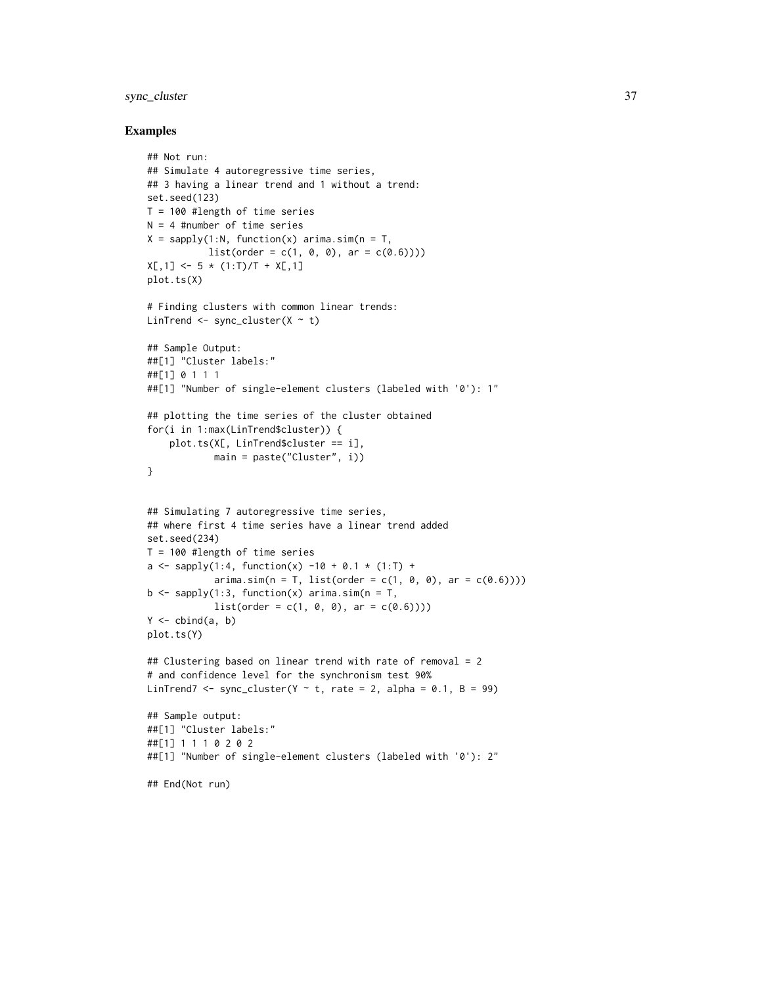## sync\_cluster 37

#### Examples

```
## Not run:
## Simulate 4 autoregressive time series,
## 3 having a linear trend and 1 without a trend:
set.seed(123)
T = 100 #length of time series
N = 4 #number of time series
X = sapply(1:N, function(x) arima.sim(n = T,
           list(order = c(1, 0, 0), ar = c(0.6))))X[,1] <- 5 * (1:T)/T + X[,1]plot.ts(X)
# Finding clusters with common linear trends:
LinTrend \leq sync_cluster(X \sim t)
## Sample Output:
##[1] "Cluster labels:"
##[1] 0 1 1 1
##[1] "Number of single-element clusters (labeled with '0'): 1"
## plotting the time series of the cluster obtained
for(i in 1:max(LinTrend$cluster)) {
    plot.ts(X[, LinTrend$cluster == i],
            main = paste("Cluster", i))
}
## Simulating 7 autoregressive time series,
## where first 4 time series have a linear trend added
set.seed(234)
T = 100 #length of time series
a \leq sapply(1:4, function(x) -10 + 0.1 * (1:T) +
            arima.sim(n = T, list(order = c(1, 0, 0), ar = c(0.6))))b \leq sapply(1:3, function(x) arima.sim(n = T,
            list(order = c(1, 0, 0), ar = c(0.6))))Y \leftarrow \text{cbind}(a, b)plot.ts(Y)
## Clustering based on linear trend with rate of removal = 2
# and confidence level for the synchronism test 90%
LinTrend7 <- sync_cluster(Y \sim t, rate = 2, alpha = 0.1, B = 99)
## Sample output:
##[1] "Cluster labels:"
##[1] 1 1 1 0 2 0 2
##[1] "Number of single-element clusters (labeled with '0'): 2"
## End(Not run)
```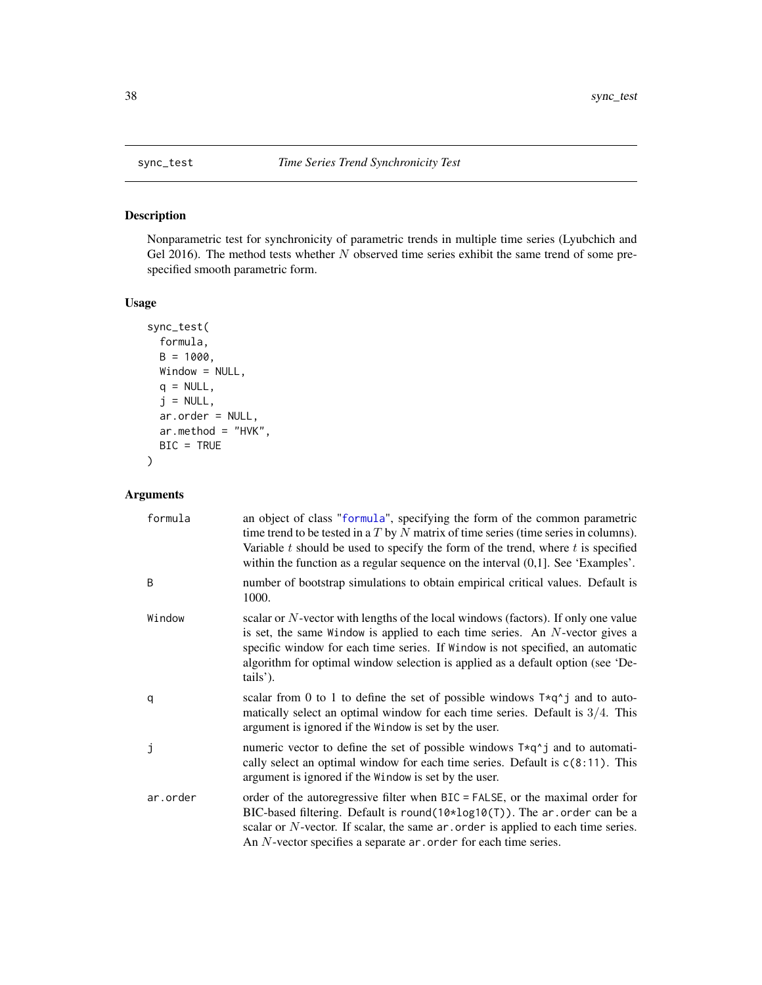<span id="page-37-1"></span><span id="page-37-0"></span>

## Description

Nonparametric test for synchronicity of parametric trends in multiple time series (Lyubchich and Gel 2016). The method tests whether  $N$  observed time series exhibit the same trend of some prespecified smooth parametric form.

## Usage

```
sync_test(
  formula,
 B = 1000,Window = NULL,
 q = NULL,j = NULL,ar.order = NULL,
 ar.method = "HVK",BIC = TRUE
)
```
## Arguments

| formula  | an object of class "formula", specifying the form of the common parametric<br>time trend to be tested in a $T$ by $N$ matrix of time series (time series in columns).<br>Variable $t$ should be used to specify the form of the trend, where $t$ is specified<br>within the function as a regular sequence on the interval $(0,1]$ . See 'Examples'.    |
|----------|---------------------------------------------------------------------------------------------------------------------------------------------------------------------------------------------------------------------------------------------------------------------------------------------------------------------------------------------------------|
| B        | number of bootstrap simulations to obtain empirical critical values. Default is<br>1000.                                                                                                                                                                                                                                                                |
| Window   | scalar or $N$ -vector with lengths of the local windows (factors). If only one value<br>is set, the same Window is applied to each time series. An $N$ -vector gives a<br>specific window for each time series. If Window is not specified, an automatic<br>algorithm for optimal window selection is applied as a default option (see 'De-<br>tails'). |
| q        | scalar from 0 to 1 to define the set of possible windows $T \star q^T j$ and to auto-<br>matically select an optimal window for each time series. Default is $3/4$ . This<br>argument is ignored if the Window is set by the user.                                                                                                                      |
| j        | numeric vector to define the set of possible windows $T \star q^2$ and to automati-<br>cally select an optimal window for each time series. Default is $c(8:11)$ . This<br>argument is ignored if the Window is set by the user.                                                                                                                        |
| ar.order | order of the autoregressive filter when BIC = FALSE, or the maximal order for<br>BIC-based filtering. Default is round( $10*log10(T)$ ). The ar order can be a<br>scalar or $N$ -vector. If scalar, the same $ar \cdot$ order is applied to each time series.<br>An $N$ -vector specifies a separate $ar$ . order for each time series.                 |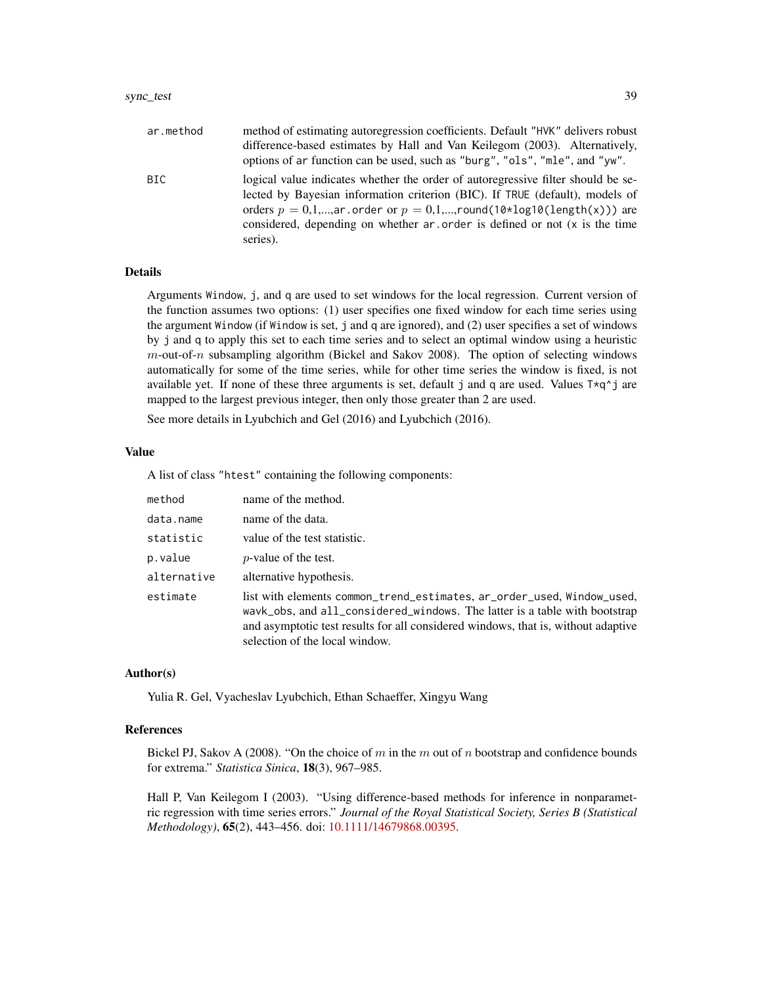| ar.method | method of estimating autoregression coefficients. Default "HVK" delivers robust<br>difference-based estimates by Hall and Van Keilegom (2003). Alternatively,<br>options of ar function can be used, such as "burg", "ols", "mle", and "yw".                                                                                            |
|-----------|-----------------------------------------------------------------------------------------------------------------------------------------------------------------------------------------------------------------------------------------------------------------------------------------------------------------------------------------|
| BIC.      | logical value indicates whether the order of autoregressive filter should be se-<br>lected by Bayesian information criterion (BIC). If TRUE (default), models of<br>orders $p = 0,1,,ar$ order or $p = 0,1,,round(10 * log10(length(x)))$ are<br>considered, depending on whether ar order is defined or not (x is the time<br>series). |

#### Details

Arguments Window, j, and q are used to set windows for the local regression. Current version of the function assumes two options: (1) user specifies one fixed window for each time series using the argument Window (if Window is set, j and q are ignored), and (2) user specifies a set of windows by j and q to apply this set to each time series and to select an optimal window using a heuristic  $m$ -out-of- $n$  subsampling algorithm (Bickel and Sakov 2008). The option of selecting windows automatically for some of the time series, while for other time series the window is fixed, is not available yet. If none of these three arguments is set, default j and q are used. Values  $T \star q \uparrow j$  are mapped to the largest previous integer, then only those greater than 2 are used.

See more details in Lyubchich and Gel (2016) and Lyubchich (2016).

## Value

A list of class "htest" containing the following components:

| method      | name of the method.                                                                                                                                                                                                                                                         |
|-------------|-----------------------------------------------------------------------------------------------------------------------------------------------------------------------------------------------------------------------------------------------------------------------------|
| data.name   | name of the data.                                                                                                                                                                                                                                                           |
| statistic   | value of the test statistic.                                                                                                                                                                                                                                                |
| p.value     | <i>p</i> -value of the test.                                                                                                                                                                                                                                                |
| alternative | alternative hypothesis.                                                                                                                                                                                                                                                     |
| estimate    | list with elements common_trend_estimates, ar_order_used, Window_used,<br>wavk_obs, and all_considered_windows. The latter is a table with bootstrap<br>and asymptotic test results for all considered windows, that is, without adaptive<br>selection of the local window. |

### Author(s)

Yulia R. Gel, Vyacheslav Lyubchich, Ethan Schaeffer, Xingyu Wang

#### References

Bickel PJ, Sakov A (2008). "On the choice of m in the m out of n bootstrap and confidence bounds for extrema." *Statistica Sinica*, 18(3), 967–985.

Hall P, Van Keilegom I (2003). "Using difference-based methods for inference in nonparametric regression with time series errors." *Journal of the Royal Statistical Society, Series B (Statistical Methodology)*, 65(2), 443–456. doi: [10.1111/14679868.00395.](https://doi.org/10.1111/1467-9868.00395)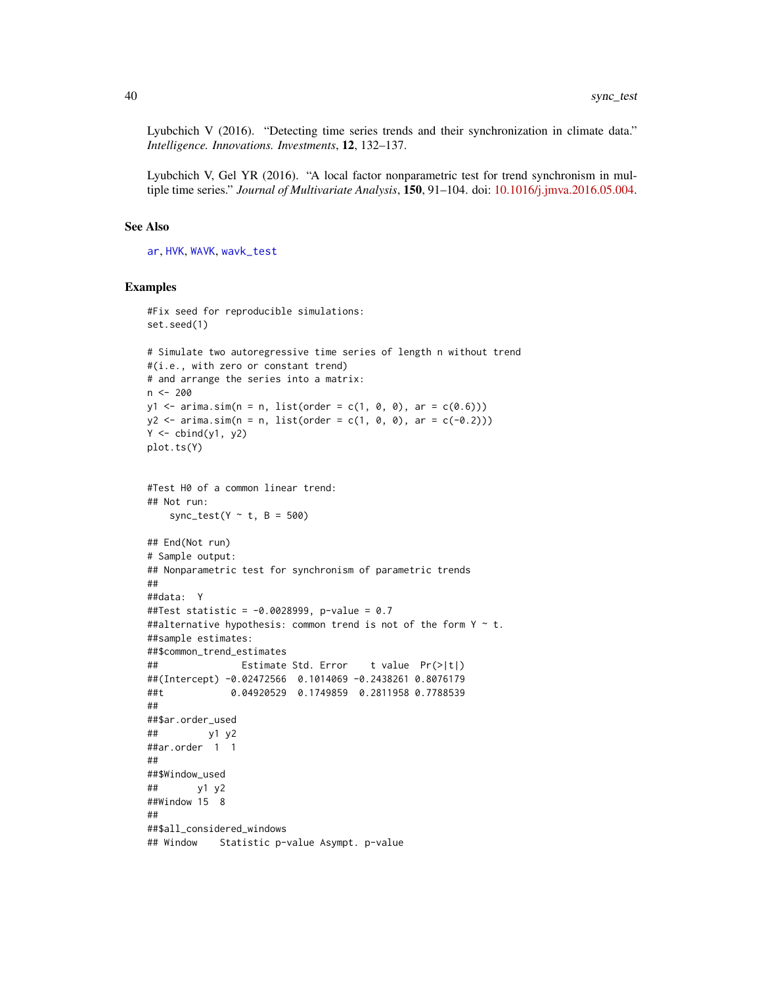<span id="page-39-0"></span>Lyubchich V (2016). "Detecting time series trends and their synchronization in climate data." *Intelligence. Innovations. Investments*, 12, 132–137.

Lyubchich V, Gel YR (2016). "A local factor nonparametric test for trend synchronism in multiple time series." *Journal of Multivariate Analysis*, 150, 91–104. doi: [10.1016/j.jmva.2016.05.004.](https://doi.org/10.1016/j.jmva.2016.05.004)

#### See Also

[ar](#page-0-0), [HVK](#page-23-1), [WAVK](#page-41-1), [wavk\\_test](#page-42-1)

## Examples

```
#Fix seed for reproducible simulations:
set.seed(1)
# Simulate two autoregressive time series of length n without trend
#(i.e., with zero or constant trend)
# and arrange the series into a matrix:
n < -200y1 \le -\arima.sim(n = n, list(order = c(1, 0, 0), ar = c(0.6)))y2 \le -\arima.sim(n = n, list(order = c(1, 0, 0), ar = c(-0.2)))Y \leftarrow \text{cbind}(y1, y2)plot.ts(Y)
#Test H0 of a common linear trend:
## Not run:
   sync_test(Y \sim t, B = 500)
## End(Not run)
# Sample output:
## Nonparametric test for synchronism of parametric trends
##
##data: Y
##Test statistic = -0.0028999, p-value = 0.7
##alternative hypothesis: common trend is not of the form Y \sim t.
##sample estimates:
##$common_trend_estimates
## Estimate Std. Error t value Pr(>|t|)
##(Intercept) -0.02472566 0.1014069 -0.2438261 0.8076179
##t 0.04920529 0.1749859 0.2811958 0.7788539
##
##$ar.order_used
## y1 y2
##ar.order 1 1
##
##$Window_used
## y1 y2
##Window 15 8
##
##$all_considered_windows
## Window Statistic p-value Asympt. p-value
```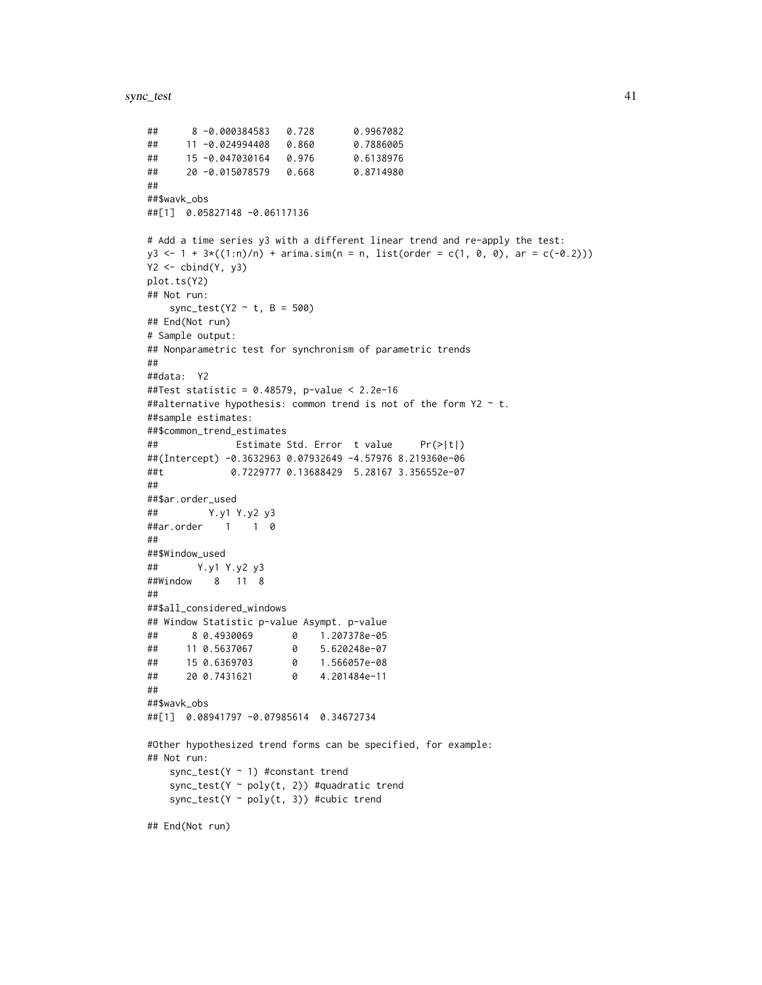```
## 8 -0.000384583 0.728 0.9967082
## 11 -0.024994408 0.860 0.7886005
## 15 -0.047030164 0.976 0.6138976
## 20 -0.015078579 0.668 0.8714980
##
##$wavk_obs
##[1] 0.05827148 -0.06117136
# Add a time series y3 with a different linear trend and re-apply the test:
y3 \le -1 + 3 \times ((1:n)/n) + \text{arima.sim}(n = n, \text{ list}(\text{order} = c(1, 0, 0), \text{ ar} = c(-0.2)))Y2 \leftarrow \text{cbind}(Y, y3)plot.ts(Y2)
## Not run:
   sync_test(Y2 ~\sim t, B = 500)
## End(Not run)
# Sample output:
## Nonparametric test for synchronism of parametric trends
##
##data: Y2
##Test statistic = 0.48579, p-value < 2.2e-16
##alternative hypothesis: common trend is not of the form Y2 \sim t.
##sample estimates:
##$common_trend_estimates
## Estimate Std. Error t value Pr(>|t|)
##(Intercept) -0.3632963 0.07932649 -4.57976 8.219360e-06
##t 0.7229777 0.13688429 5.28167 3.356552e-07
##
##$ar.order_used
## Y.y1 Y.y2 y3
##ar.order 1 1 0
##
##$Window_used
## Y.y1 Y.y2 y3
##Window 8 11 8
##
##$all_considered_windows
## Window Statistic p-value Asympt. p-value
## 8 0.4930069 0 1.207378e-05
## 11 0.5637067 0 5.620248e-07
## 15 0.6369703 0 1.566057e-08
## 20 0.7431621 0 4.201484e-11
##
##$wavk_obs
##[1] 0.08941797 -0.07985614 0.34672734
#Other hypothesized trend forms can be specified, for example:
## Not run:
   sync_test(Y \sim 1) #constant trend
   sync_test(Y ~ poly(t, 2)) #quadratic trend
   sync_test(Y \sim poly(t, 3)) #cubic trend
```
## End(Not run)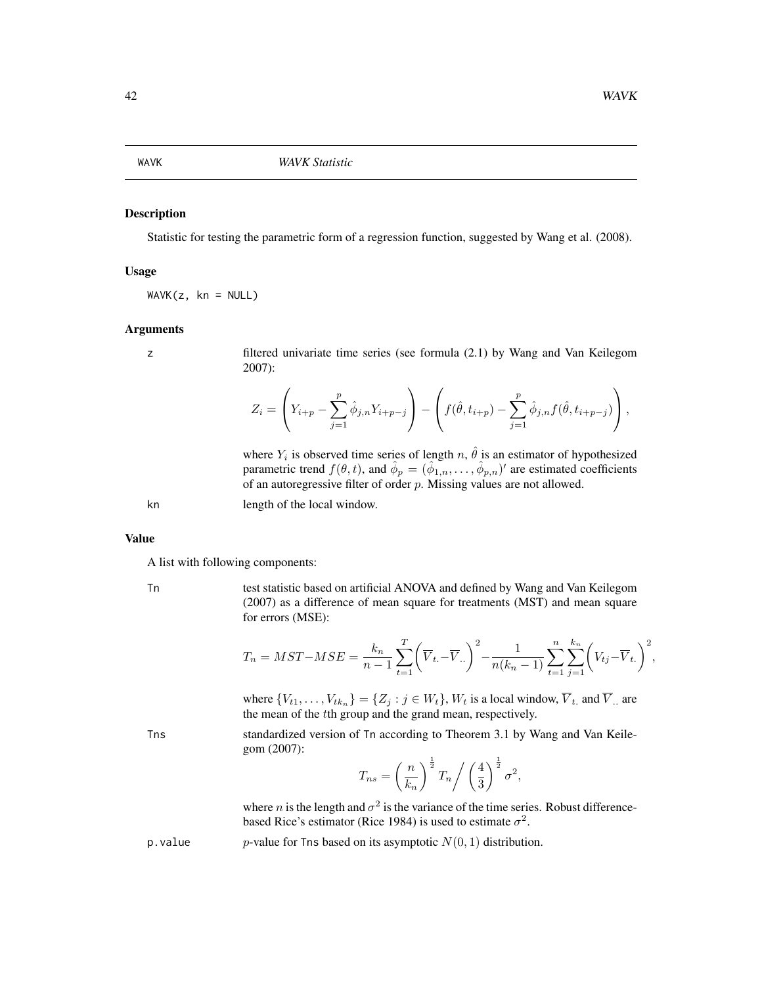#### <span id="page-41-1"></span><span id="page-41-0"></span>Description

Statistic for testing the parametric form of a regression function, suggested by Wang et al. (2008).

#### Usage

 $WAVK(z, kn = NULL)$ 

## Arguments

z filtered univariate time series (see formula (2.1) by Wang and Van Keilegom 2007):

$$
Z_i = \left(Y_{i+p} - \sum_{j=1}^p \hat{\phi}_{j,n} Y_{i+p-j}\right) - \left(f(\hat{\theta}, t_{i+p}) - \sum_{j=1}^p \hat{\phi}_{j,n} f(\hat{\theta}, t_{i+p-j})\right),
$$

where  $Y_i$  is observed time series of length n,  $\hat{\theta}$  is an estimator of hypothesized parametric trend  $f(\theta, t)$ , and  $\hat{\phi}_p = (\hat{\phi}_{1,n}, \dots, \hat{\phi}_{p,n})'$  are estimated coefficients of an autoregressive filter of order  $p$ . Missing values are not allowed.

kn length of the local window.

#### Value

A list with following components:

Tn test statistic based on artificial ANOVA and defined by Wang and Van Keilegom (2007) as a difference of mean square for treatments (MST) and mean square for errors (MSE):

$$
T_n = MST - MSE = \frac{k_n}{n-1} \sum_{t=1}^{T} \left( \overline{V}_{t} - \overline{V}_{t} \right)^2 - \frac{1}{n(k_n-1)} \sum_{t=1}^{n} \sum_{j=1}^{k_n} \left( V_{tj} - \overline{V}_{t} \right)^2,
$$

where  $\{V_{t1}, \ldots, V_{tk_n}\} = \{Z_j : j \in W_t\}$ ,  $W_t$  is a local window,  $\overline{V}_t$  and  $\overline{V}_t$  are the mean of the tth group and the grand mean, respectively.

\n
$$
500 \, \text{J}
$$
 standardized version of  $7n$  according to Theorem 3.1 by Wang and Van Keile-gom (2007):\n

$$
T_{ns} = \left(\frac{n}{k_n}\right)^{\frac{1}{2}} T_n \bigg/ \left(\frac{4}{3}\right)^{\frac{1}{2}} \sigma^2,
$$

where *n* is the length and  $\sigma^2$  is the variance of the time series. Robust differencebased Rice's estimator (Rice 1984) is used to estimate  $\sigma^2$ .

p. value p-value for Tns based on its asymptotic  $N(0, 1)$  distribution.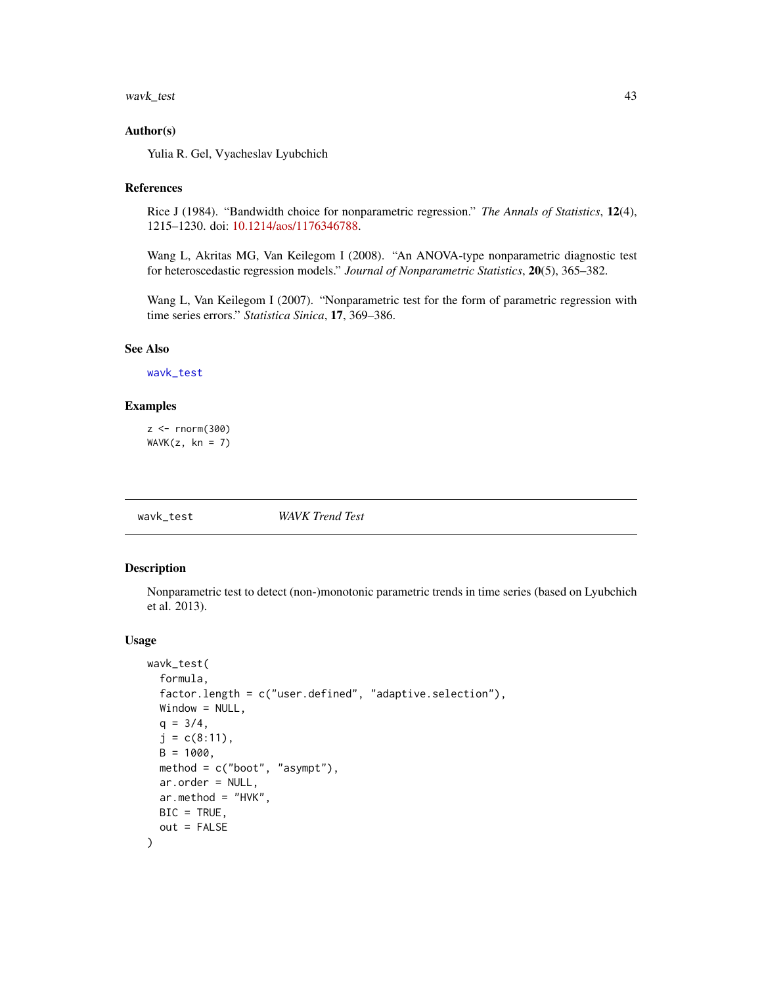#### <span id="page-42-0"></span>Author(s)

Yulia R. Gel, Vyacheslav Lyubchich

#### References

Rice J (1984). "Bandwidth choice for nonparametric regression." *The Annals of Statistics*, 12(4), 1215–1230. doi: [10.1214/aos/1176346788.](https://doi.org/10.1214/aos/1176346788)

Wang L, Akritas MG, Van Keilegom I (2008). "An ANOVA-type nonparametric diagnostic test for heteroscedastic regression models." *Journal of Nonparametric Statistics*, 20(5), 365–382.

Wang L, Van Keilegom I (2007). "Nonparametric test for the form of parametric regression with time series errors." *Statistica Sinica*, 17, 369–386.

## See Also

[wavk\\_test](#page-42-1)

#### Examples

 $z < -$  rnorm(300)  $WAVK(z, kn = 7)$ 

<span id="page-42-1"></span>

wavk\_test *WAVK Trend Test*

#### Description

Nonparametric test to detect (non-)monotonic parametric trends in time series (based on Lyubchich et al. 2013).

#### Usage

```
wavk_test(
  formula,
  factor.length = c("user.defined", "adaptive.selection"),
 Window = NULL,q = 3/4,
  j = c(8:11),
 B = 1000,method = c("boot", "asympt"),
 ar.order = NULL,
 ar.method = "HVK",
 BIC = TRUE,out = FALSE)
```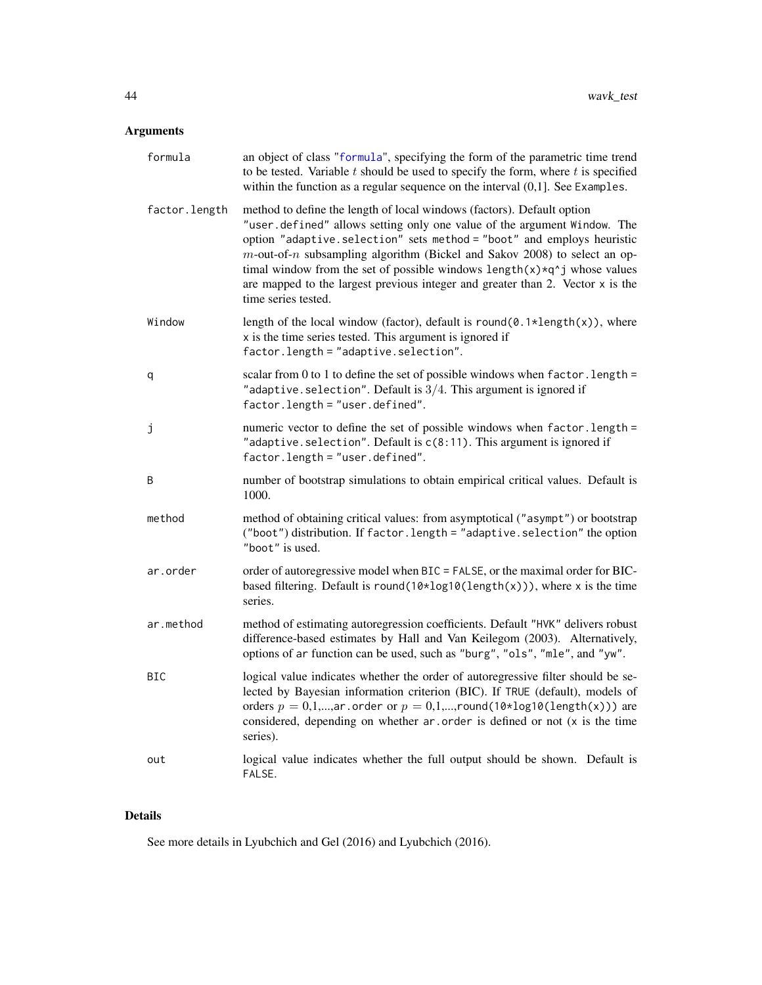## <span id="page-43-0"></span>Arguments

| formula       | an object of class "formula", specifying the form of the parametric time trend<br>to be tested. Variable $t$ should be used to specify the form, where $t$ is specified<br>within the function as a regular sequence on the interval $(0,1]$ . See Examples.                                                                                                                                                                                                                                             |
|---------------|----------------------------------------------------------------------------------------------------------------------------------------------------------------------------------------------------------------------------------------------------------------------------------------------------------------------------------------------------------------------------------------------------------------------------------------------------------------------------------------------------------|
| factor.length | method to define the length of local windows (factors). Default option<br>"user.defined" allows setting only one value of the argument Window. The<br>option "adaptive.selection" sets method = "boot" and employs heuristic<br>$m$ -out-of-n subsampling algorithm (Bickel and Sakov 2008) to select an op-<br>timal window from the set of possible windows $length(x)*q^i$ whose values<br>are mapped to the largest previous integer and greater than $2$ . Vector $x$ is the<br>time series tested. |
| Window        | length of the local window (factor), default is round( $0.1*length(x)$ ), where<br>x is the time series tested. This argument is ignored if<br>factor.length = "adaptive.selection".                                                                                                                                                                                                                                                                                                                     |
| q             | scalar from 0 to 1 to define the set of possible windows when $factor.length =$<br>"adaptive. selection". Default is $3/4$ . This argument is ignored if<br>factor.length = "user.defined".                                                                                                                                                                                                                                                                                                              |
| j             | numeric vector to define the set of possible windows when factor. length =<br>"adaptive. selection". Default is $c(8:11)$ . This argument is ignored if<br>factor.length = "user.defined".                                                                                                                                                                                                                                                                                                               |
| B             | number of bootstrap simulations to obtain empirical critical values. Default is<br>1000.                                                                                                                                                                                                                                                                                                                                                                                                                 |
| method        | method of obtaining critical values: from asymptotical ("asympt") or bootstrap<br>("boot") distribution. If factor.length = "adaptive.selection" the option<br>"boot" is used.                                                                                                                                                                                                                                                                                                                           |
| ar.order      | order of autoregressive model when BIC = FALSE, or the maximal order for BIC-<br>based filtering. Default is round( $10 \times \log 10(\text{length}(x))$ ), where x is the time<br>series.                                                                                                                                                                                                                                                                                                              |
| ar.method     | method of estimating autoregression coefficients. Default "HVK" delivers robust<br>difference-based estimates by Hall and Van Keilegom (2003). Alternatively,<br>options of ar function can be used, such as "burg", "ols", "mle", and "yw".                                                                                                                                                                                                                                                             |
| <b>BIC</b>    | logical value indicates whether the order of autoregressive filter should be se-<br>lected by Bayesian information criterion (BIC). If TRUE (default), models of<br>orders $p = 0,1,,ar$ order or $p = 0,1,,round(10*log10(length(x)))$ are<br>considered, depending on whether ar order is defined or not (x is the time<br>series).                                                                                                                                                                    |
| out           | logical value indicates whether the full output should be shown. Default is<br>FALSE.                                                                                                                                                                                                                                                                                                                                                                                                                    |

## Details

See more details in Lyubchich and Gel (2016) and Lyubchich (2016).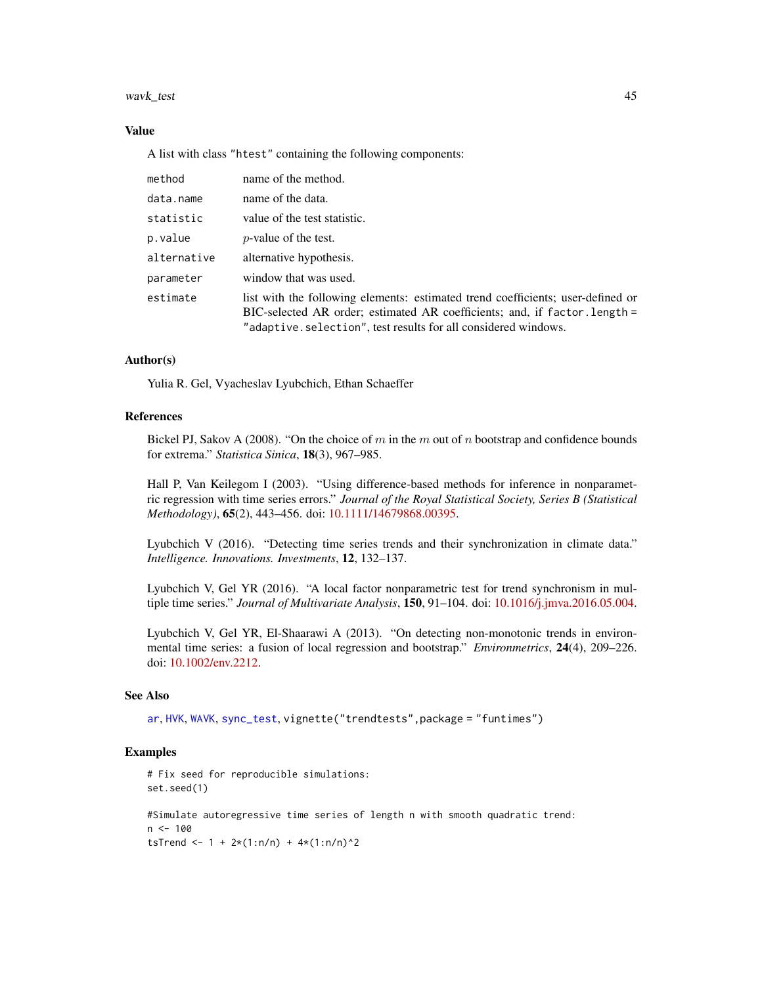## <span id="page-44-0"></span>Value

A list with class "htest" containing the following components:

| method      | name of the method.                                                                                                                                                                                                             |
|-------------|---------------------------------------------------------------------------------------------------------------------------------------------------------------------------------------------------------------------------------|
| data.name   | name of the data.                                                                                                                                                                                                               |
| statistic   | value of the test statistic.                                                                                                                                                                                                    |
| p.value     | <i>p</i> -value of the test.                                                                                                                                                                                                    |
| alternative | alternative hypothesis.                                                                                                                                                                                                         |
| parameter   | window that was used.                                                                                                                                                                                                           |
| estimate    | list with the following elements: estimated trend coefficients; user-defined or<br>BIC-selected AR order; estimated AR coefficients; and, if factor. length =<br>"adaptive.selection", test results for all considered windows. |

#### Author(s)

Yulia R. Gel, Vyacheslav Lyubchich, Ethan Schaeffer

#### References

Bickel PJ, Sakov A (2008). "On the choice of m in the m out of n bootstrap and confidence bounds for extrema." *Statistica Sinica*, 18(3), 967–985.

Hall P, Van Keilegom I (2003). "Using difference-based methods for inference in nonparametric regression with time series errors." *Journal of the Royal Statistical Society, Series B (Statistical Methodology)*, 65(2), 443–456. doi: [10.1111/14679868.00395.](https://doi.org/10.1111/1467-9868.00395)

Lyubchich V (2016). "Detecting time series trends and their synchronization in climate data." *Intelligence. Innovations. Investments*, 12, 132–137.

Lyubchich V, Gel YR (2016). "A local factor nonparametric test for trend synchronism in multiple time series." *Journal of Multivariate Analysis*, 150, 91–104. doi: [10.1016/j.jmva.2016.05.004.](https://doi.org/10.1016/j.jmva.2016.05.004)

Lyubchich V, Gel YR, El-Shaarawi A (2013). "On detecting non-monotonic trends in environmental time series: a fusion of local regression and bootstrap." *Environmetrics*, 24(4), 209–226. doi: [10.1002/env.2212.](https://doi.org/10.1002/env.2212)

#### See Also

[ar](#page-0-0), [HVK](#page-23-1), [WAVK](#page-41-1), [sync\\_test](#page-37-1), vignette("trendtests",package = "funtimes")

#### Examples

```
# Fix seed for reproducible simulations:
set.seed(1)
#Simulate autoregressive time series of length n with smooth quadratic trend:
n < -100tsTrend <- 1 + 2*(1:n/n) + 4*(1:n/n)^2
```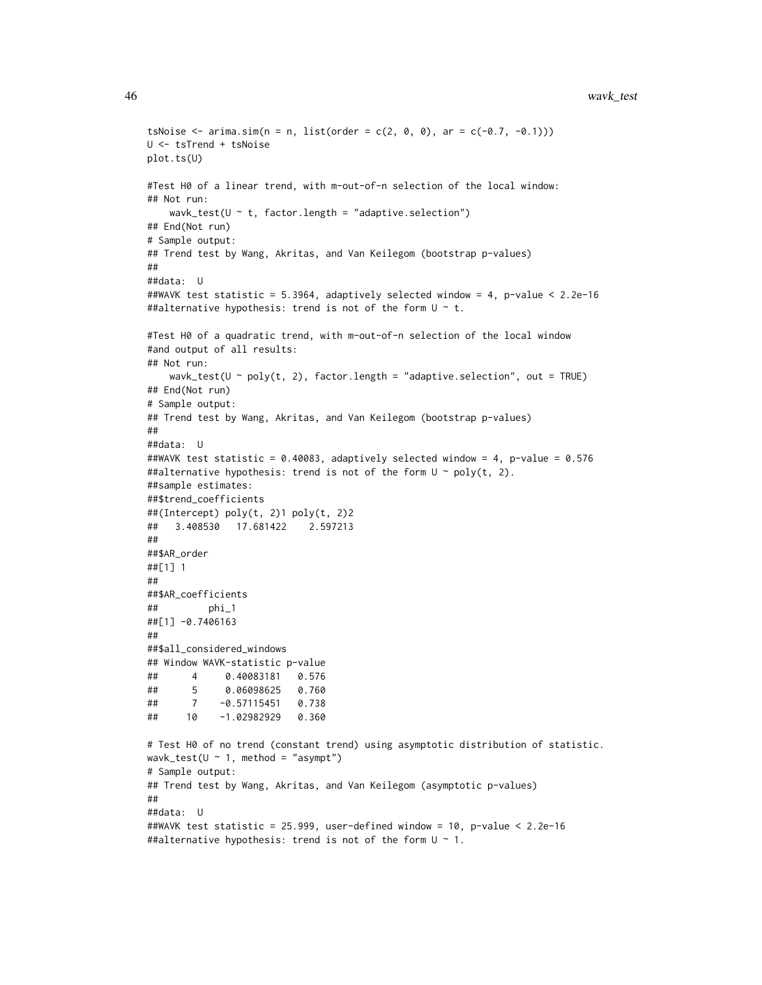```
tsNoise \leq arima.sim(n = n, list(order = c(2, 0, 0), ar = c(-0.7, -0.1)))
U <- tsTrend + tsNoise
plot.ts(U)
#Test H0 of a linear trend, with m-out-of-n selection of the local window:
## Not run:
   wavk_test(U \sim t, factor.length = "adaptive.selection")
## End(Not run)
# Sample output:
## Trend test by Wang, Akritas, and Van Keilegom (bootstrap p-values)
##
##data: U
##WAVK test statistic = 5.3964, adaptively selected window = 4, p-value < 2.2e-16
##alternative hypothesis: trend is not of the form U \sim t.
#Test H0 of a quadratic trend, with m-out-of-n selection of the local window
#and output of all results:
## Not run:
   wavk_test(U \sim poly(t, 2), factor.length = "adaptive.selection", out = TRUE)
## End(Not run)
# Sample output:
## Trend test by Wang, Akritas, and Van Keilegom (bootstrap p-values)
##
##data: U
##WAVK test statistic = 0.40083, adaptively selected window = 4, p-value = 0.576
##alternative hypothesis: trend is not of the form U \sim poly(t, 2).
##sample estimates:
##$trend_coefficients
##(Intercept) poly(t, 2)1 poly(t, 2)2
## 3.408530 17.681422 2.597213
##
##$AR_order
##[1] 1
##
##$AR_coefficients
## phi_1
##[1] -0.7406163
##
##$all_considered_windows
## Window WAVK-statistic p-value
## 4 0.40083181 0.576
## 5 0.06098625 0.760
## 7 -0.57115451 0.738
## 10 -1.02982929 0.360
# Test H0 of no trend (constant trend) using asymptotic distribution of statistic.
wavk_test(U \sim 1, method = "asympt")
# Sample output:
## Trend test by Wang, Akritas, and Van Keilegom (asymptotic p-values)
##
##data: U
##WAVK test statistic = 25.999, user-defined window = 10, p-value < 2.2e-16
##alternative hypothesis: trend is not of the form U \sim 1.
```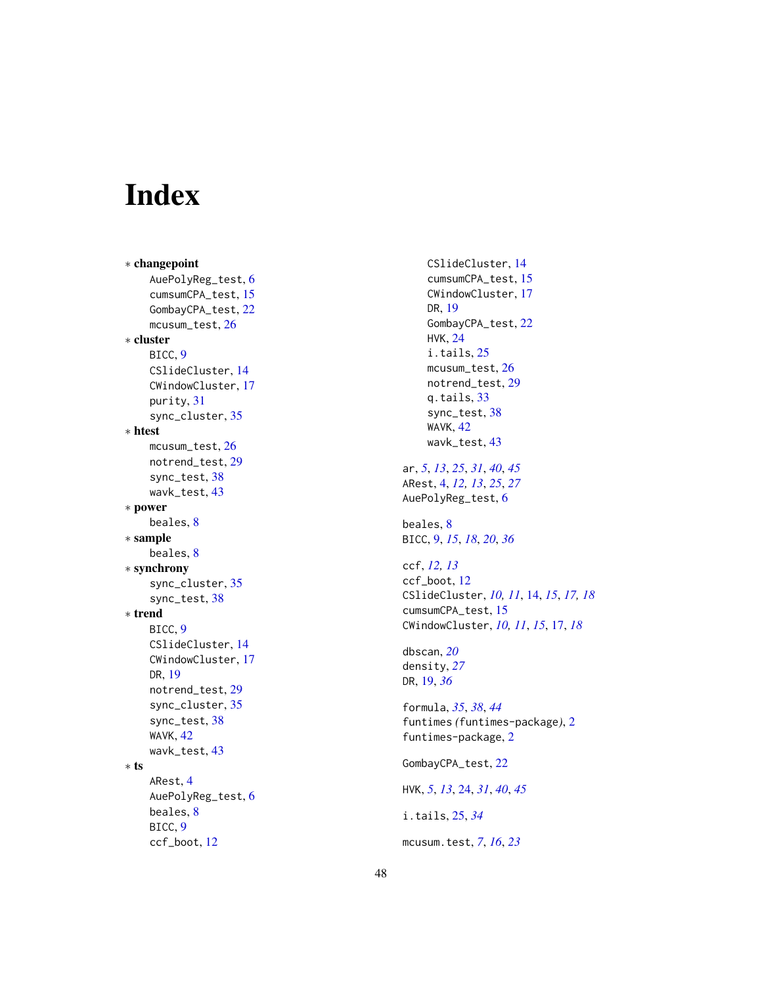# <span id="page-47-0"></span>Index

∗ changepoint AuePolyReg\_test, [6](#page-5-0) cumsumCPA\_test , [15](#page-14-0) GombayCPA\_test , [22](#page-21-0) mcusum\_test, [26](#page-25-0) ∗ cluster BICC , [9](#page-8-0) CSlideCluster , [14](#page-13-0) CWindowCluster , [17](#page-16-0) purity , [31](#page-30-0) sync\_cluster, [35](#page-34-0) ∗ htest mcusum\_test, [26](#page-25-0) notrend\_test , [29](#page-28-0) sync\_test , [38](#page-37-0) wavk\_test , [43](#page-42-0) ∗ power beales, <mark>[8](#page-7-0)</mark> ∗ sample beales, <mark>[8](#page-7-0)</mark> ∗ synchrony sync\_cluster, [35](#page-34-0) sync\_test , [38](#page-37-0) ∗ trend BICC , [9](#page-8-0) CSlideCluster , [14](#page-13-0) CWindowCluster , [17](#page-16-0) DR , [19](#page-18-0) notrend\_test , [29](#page-28-0) sync\_cluster, [35](#page-34-0) sync\_test , [38](#page-37-0) WAVK , [42](#page-41-0) wavk\_test , [43](#page-42-0) ∗ ts ARest , [4](#page-3-0) AuePolyReg\_test, [6](#page-5-0) beales, <mark>[8](#page-7-0)</mark> BICC , [9](#page-8-0) ccf\_boot , [12](#page-11-0)

CSlideCluster , [14](#page-13-0) cumsumCPA\_test , [15](#page-14-0) CWindowCluster , [17](#page-16-0) DR , [19](#page-18-0) GombayCPA\_test , [22](#page-21-0) HVK , [24](#page-23-0) i.tails, [25](#page-24-0) mcusum\_test, [26](#page-25-0) notrend\_test , [29](#page-28-0) q.tails, [33](#page-32-0) sync\_test , [38](#page-37-0) WAVK , [42](#page-41-0) wavk\_test , [43](#page-42-0) ar , *[5](#page-4-0)* , *[13](#page-12-0)* , *[25](#page-24-0)* , *[31](#page-30-0)* , *[40](#page-39-0)* , *[45](#page-44-0)* ARest , [4](#page-3-0) , *[12](#page-11-0) , [13](#page-12-0)* , *[25](#page-24-0)* , *[27](#page-26-0)* AuePolyReg\_test, [6](#page-5-0) beales, <mark>[8](#page-7-0)</mark> BICC , [9](#page-8-0) , *[15](#page-14-0)* , *[18](#page-17-0)* , *[20](#page-19-0)* , *[36](#page-35-0)* ccf , *[12](#page-11-0) , [13](#page-12-0)* ccf\_boot , [12](#page-11-0) CSlideCluster , *[10](#page-9-0) , [11](#page-10-0)* , [14](#page-13-0) , *[15](#page-14-0)* , *[17,](#page-16-0) [18](#page-17-0)* cumsumCPA\_test , [15](#page-14-0) CWindowCluster , *[10](#page-9-0) , [11](#page-10-0)* , *[15](#page-14-0)* , [17](#page-16-0) , *[18](#page-17-0)* dbscan , *[20](#page-19-0)* density , *[27](#page-26-0)* DR , [19](#page-18-0) , *[36](#page-35-0)* formula , *[35](#page-34-0)* , *[38](#page-37-0)* , *[44](#page-43-0)* funtimes *(*funtimes-package *)* , [2](#page-1-0) funtimes-package , [2](#page-1-0) GombayCPA\_test , [22](#page-21-0) HVK , *[5](#page-4-0)* , *[13](#page-12-0)* , [24](#page-23-0) , *[31](#page-30-0)* , *[40](#page-39-0)* , *[45](#page-44-0)* i.tails , [25](#page-24-0) , *[34](#page-33-0)* mcusum.test , *[7](#page-6-0)* , *[16](#page-15-0)* , *[23](#page-22-0)*